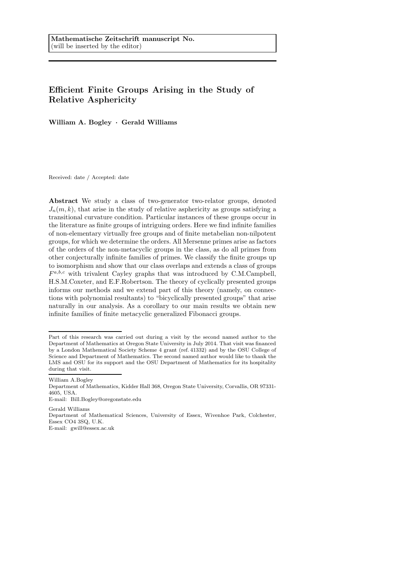# Efficient Finite Groups Arising in the Study of Relative Asphericity

William A. Bogley · Gerald Williams

Received: date / Accepted: date

Abstract We study a class of two-generator two-relator groups, denoted  $J_n(m, k)$ , that arise in the study of relative asphericity as groups satisfying a transitional curvature condition. Particular instances of these groups occur in the literature as finite groups of intriguing orders. Here we find infinite families of non-elementary virtually free groups and of finite metabelian non-nilpotent groups, for which we determine the orders. All Mersenne primes arise as factors of the orders of the non-metacyclic groups in the class, as do all primes from other conjecturally infinite families of primes. We classify the finite groups up to isomorphism and show that our class overlaps and extends a class of groups  $F^{a,b,c}$  with trivalent Cayley graphs that was introduced by C.M.Campbell, H.S.M.Coxeter, and E.F.Robertson. The theory of cyclically presented groups informs our methods and we extend part of this theory (namely, on connections with polynomial resultants) to "bicyclically presented groups" that arise naturally in our analysis. As a corollary to our main results we obtain new infinite families of finite metacyclic generalized Fibonacci groups.

William A.Bogley

Gerald Williams Department of Mathematical Sciences, University of Essex, Wivenhoe Park, Colchester, Essex CO4 3SQ, U.K. E-mail: gwill@essex.ac.uk

Part of this research was carried out during a visit by the second named author to the Department of Mathematics at Oregon State University in July 2014. That visit was financed by a London Mathematical Society Scheme 4 grant (ref. 41332) and by the OSU College of Science and Department of Mathematics. The second named author would like to thank the LMS and OSU for its support and the OSU Department of Mathematics for its hospitality during that visit.

Department of Mathematics, Kidder Hall 368, Oregon State University, Corvallis, OR 97331- 4605, USA.

E-mail: Bill.Bogley@oregonstate.edu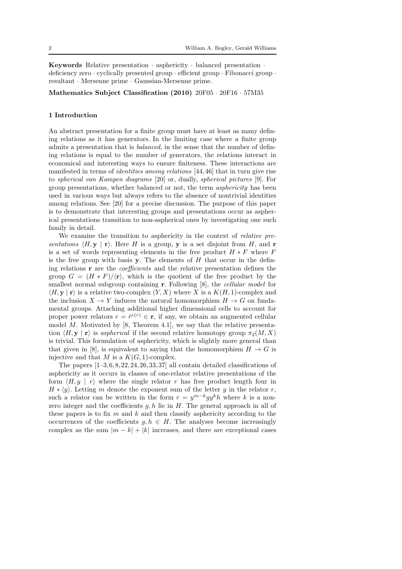Keywords Relative presentation · asphericity · balanced presentation · deficiency zero · cyclically presented group · efficient group · Fibonacci group · resultant · Mersenne prime · Gaussian-Mersenne prime.

Mathematics Subject Classification (2010) 20F05 · 20F16 · 57M35

#### 1 Introduction

An abstract presentation for a finite group must have at least as many defining relations as it has generators. In the limiting case where a finite group admits a presentation that is balanced, in the sense that the number of defining relations is equal to the number of generators, the relations interact in economical and interesting ways to ensure finiteness. These interactions are manifested in terms of identities among relations [44,46] that in turn give rise to spherical van Kampen diagrams [20] or, dually, spherical pictures [9]. For group presentations, whether balanced or not, the term asphericity has been used in various ways but always refers to the absence of nontrivial identities among relations. See [20] for a precise discussion. The purpose of this paper is to demonstrate that interesting groups and presentations occur as aspherical presentations transition to non-aspherical ones by investigating one such family in detail.

We examine the transition to asphericity in the context of relative presentations  $\langle H, \mathbf{y} | \mathbf{r} \rangle$ . Here H is a group, y is a set disjoint from H, and r is a set of words representing elements in the free product  $H * F$  where F is the free group with basis  $\mathbf y$ . The elements of  $H$  that occur in the defining relations r are the coefficients and the relative presentation defines the group  $G = (H * F)/\langle r \rangle$ , which is the quotient of the free product by the smallest normal subgroup containing **r**. Following [8], the *cellular model* for  $\langle H, \mathbf{y} | \mathbf{r} \rangle$  is a relative two-complex  $(Y, X)$  where X is a  $K(H, 1)$ -complex and the inclusion  $X \to Y$  induces the natural homomorphism  $H \to G$  on fundamental groups. Attaching additional higher dimensional cells to account for proper power relators  $r = r^{e(r)} \in \mathbf{r}$ , if any, we obtain an augmented cellular model  $M$ . Motivated by [8, Theorem 4.1], we say that the relative presentation  $\langle H, y | r \rangle$  is aspherical if the second relative homotopy group  $\pi_2(M, X)$ is trivial. This formulation of asphericity, which is slightly more general than that given in [8], is equivalent to saying that the homomorphism  $H \to G$  is injective and that  $M$  is a  $K(G, 1)$ -complex.

The papers  $[1-3,6,8,22,24,26,33,37]$  all contain detailed classifications of asphericity as it occurs in classes of one-relator relative presentations of the form  $\langle H, y | r \rangle$  where the single relator r has free product length four in  $H * \langle y \rangle$ . Letting m denote the exponent sum of the letter y in the relator r, such a relator can be written in the form  $r = y^{m-k}gy^k h$  where k is a nonzero integer and the coefficients  $g, h$  lie in  $H$ . The general approach in all of these papers is to fix  $m$  and  $k$  and then classify asphericity according to the occurrences of the coefficients  $g, h \in H$ . The analyses become increasingly complex as the sum  $|m - k| + |k|$  increases, and there are exceptional cases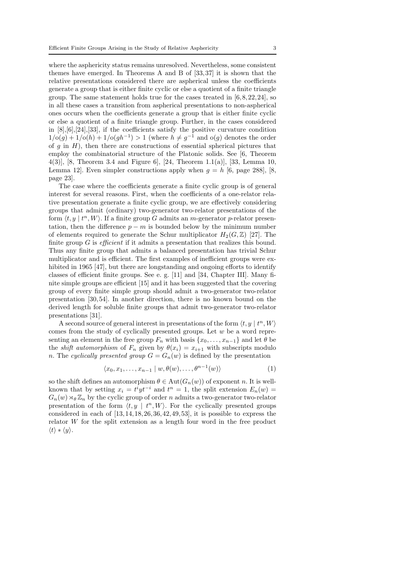where the asphericity status remains unresolved. Nevertheless, some consistent themes have emerged. In Theorems A and B of [33,37] it is shown that the relative presentations considered there are aspherical unless the coefficients generate a group that is either finite cyclic or else a quotient of a finite triangle group. The same statement holds true for the cases treated in  $[6,8,22,24]$ , so in all these cases a transition from aspherical presentations to non-aspherical ones occurs when the coefficients generate a group that is either finite cyclic or else a quotient of a finite triangle group. Further, in the cases considered in  $[8], [6], [24], [33],$  if the coefficients satisfy the positive curvature condition  $1/\text{o}(g) + 1/\text{o}(h) + 1/\text{o}(gh^{-1}) > 1$  (where  $h \neq g^{-1}$  and  $\text{o}(g)$  denotes the order of q in  $H$ ), then there are constructions of essential spherical pictures that employ the combinatorial structure of the Platonic solids. See [6, Theorem 4(3)], [8, Theorem 3.4 and Figure 6], [24, Theorem 1.1(a)], [33, Lemma 10, Lemma 12. Even simpler constructions apply when  $g = h$  [6, page 288], [8, page 23].

The case where the coefficients generate a finite cyclic group is of general interest for several reasons. First, when the coefficients of a one-relator relative presentation generate a finite cyclic group, we are effectively considering groups that admit (ordinary) two-generator two-relator presentations of the form  $\langle t, y | t<sup>n</sup>, W \rangle$ . If a finite group G admits an *m*-generator *p*-relator presentation, then the difference  $p - m$  is bounded below by the minimum number of elements required to generate the Schur multiplicator  $H_2(G,\mathbb{Z})$  [27]. The finite group  $G$  is *efficient* if it admits a presentation that realizes this bound. Thus any finite group that admits a balanced presentation has trivial Schur multiplicator and is efficient. The first examples of inefficient groups were exhibited in 1965 [47], but there are longstanding and ongoing efforts to identify classes of efficient finite groups. See e. g. [11] and [34, Chapter III]. Many finite simple groups are efficient [15] and it has been suggested that the covering group of every finite simple group should admit a two-generator two-relator presentation [30,54]. In another direction, there is no known bound on the derived length for soluble finite groups that admit two-generator two-relator presentations [31].

A second source of general interest in presentations of the form  $\langle t, y \mid t^n, W \rangle$ comes from the study of cyclically presented groups. Let  $w$  be a word representing an element in the free group  $F_n$  with basis  $\{x_0, \ldots, x_{n-1}\}\$  and let  $\theta$  be the *shift automorphism* of  $F_n$  given by  $\theta(x_i) = x_{i+1}$  with subscripts modulo n. The cyclically presented group  $G = G_n(w)$  is defined by the presentation

$$
\langle x_0, x_1, \dots, x_{n-1} \mid w, \theta(w), \dots, \theta^{n-1}(w) \rangle \tag{1}
$$

so the shift defines an automorphism  $\theta \in Aut(G_n(w))$  of exponent n. It is wellknown that by setting  $x_i = t^i y t^{-i}$  and  $t^n = 1$ , the split extension  $E_n(w) =$  $G_n(w) \rtimes_{\theta} \mathbb{Z}_n$  by the cyclic group of order n admits a two-generator two-relator presentation of the form  $\langle t, y \mid t^n, W \rangle$ . For the cyclically presented groups considered in each of  $[13, 14, 18, 26, 36, 42, 49, 53]$ , it is possible to express the relator  $W$  for the split extension as a length four word in the free product  $\langle t \rangle * \langle y \rangle.$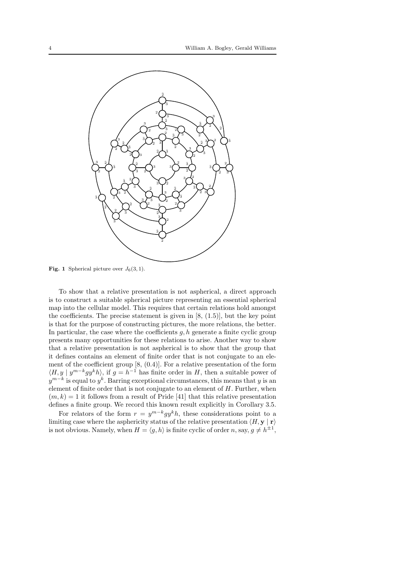

**Fig. 1** Spherical picture over  $J_6(3, 1)$ .

To show that a relative presentation is not aspherical, a direct approach is to construct a suitable spherical picture representing an essential spherical map into the cellular model. This requires that certain relations hold amongst the coefficients. The precise statement is given in  $[8, (1.5)]$ , but the key point is that for the purpose of constructing pictures, the more relations, the better. In particular, the case where the coefficients  $g, h$  generate a finite cyclic group presents many opportunities for these relations to arise. Another way to show that a relative presentation is not aspherical is to show that the group that it defines contains an element of finite order that is not conjugate to an element of the coefficient group [8, (0.4)]. For a relative presentation of the form  $\langle H, y | y^{m-k} g y^k h \rangle$ , if  $g = h^{-1}$  has finite order in H, then a suitable power of  $y^{m-k}$  is equal to  $y^k$ . Barring exceptional circumstances, this means that y is an element of finite order that is not conjugate to an element of  $H$ . Further, when  $(m, k) = 1$  it follows from a result of Pride [41] that this relative presentation defines a finite group. We record this known result explicitly in Corollary 3.5.

For relators of the form  $r = y^{m-k}gy^k h$ , these considerations point to a limiting case where the asphericity status of the relative presentation  $\langle H, \mathbf{y} | \mathbf{r} \rangle$ is not obvious. Namely, when  $H = \langle g, h \rangle$  is finite cyclic of order n, say,  $g \neq h^{\pm 1}$ ,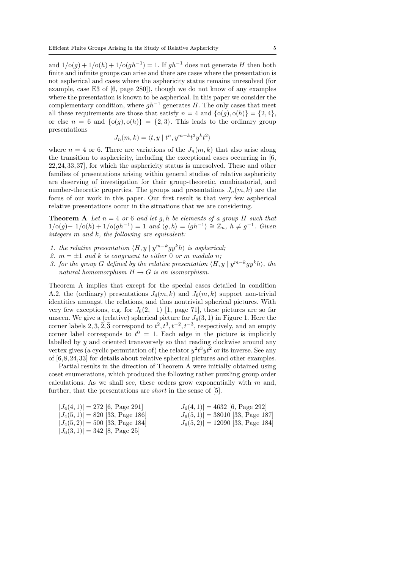and  $1/\mathrm{o}(g) + 1/\mathrm{o}(h) + 1/\mathrm{o}(gh^{-1}) = 1$ . If  $gh^{-1}$  does not generate H then both finite and infinite groups can arise and there are cases where the presentation is not aspherical and cases where the asphericity status remains unresolved (for example, case E3 of [6, page 280]), though we do not know of any examples where the presentation is known to be aspherical. In this paper we consider the complementary condition, where  $qh^{-1}$  generates H. The only cases that meet all these requirements are those that satisfy  $n = 4$  and  $\{o(q), o(h)\} = \{2, 4\},\$ or else  $n = 6$  and  $\{o(g), o(h)\} = \{2, 3\}$ . This leads to the ordinary group presentations

$$
J_n(m,k) = \langle t, y \mid t^n, y^{m-k} t^3 y^k t^2 \rangle
$$

where  $n = 4$  or 6. There are variations of the  $J_n(m, k)$  that also arise along the transition to asphericity, including the exceptional cases occurring in [6, 22,24,33,37], for which the asphericity status is unresolved. These and other families of presentations arising within general studies of relative asphericity are deserving of investigation for their group-theoretic, combinatorial, and number-theoretic properties. The groups and presentations  $J_n(m, k)$  are the focus of our work in this paper. Our first result is that very few aspherical relative presentations occur in the situations that we are considering.

**Theorem A** Let  $n = 4$  or 6 and let g, h be elements of a group H such that  $1/\text{o}(g) + 1/\text{o}(h) + 1/\text{o}(gh^{-1}) = 1$  and  $\langle g, h \rangle = \langle gh^{-1} \rangle \cong \mathbb{Z}_n$ ,  $h \neq g^{-1}$ . Given integers  $m$  and  $k$ , the following are equivalent:

- 1. the relative presentation  $\langle H, y | y^{m-k} g y^k h \rangle$  is aspherical;
- 2.  $m = \pm 1$  and k is congruent to either 0 or m modulo n;
- 3. for the group G defined by the relative presentation  $\langle H, y | y^{m-k} g y^k h \rangle$ , the natural homomorphism  $H \to G$  is an isomorphism.

Theorem A implies that except for the special cases detailed in condition A.2, the (ordinary) presentations  $J_4(m, k)$  and  $J_6(m, k)$  support non-trivial identities amongst the relations, and thus nontrivial spherical pictures. With very few exceptions, e.g. for  $J_6(2, -1)$  [1, page 71], these pictures are so far unseen. We give a (relative) spherical picture for  $J_6(3, 1)$  in Figure 1. Here the corner labels  $2, 3, \overline{2}, \overline{3}$  correspond to  $t^2, t^3, t^{-2}, t^{-3}$ , respectively, and an empty corner label corresponds to  $t^0 = 1$ . Each edge in the picture is implicitly labelled by y and oriented transversely so that reading clockwise around any vertex gives (a cyclic permutation of) the relator  $y^2t^3yt^2$  or its inverse. See any of [6,8,24,33] for details about relative spherical pictures and other examples.

Partial results in the direction of Theorem A were initially obtained using coset enumerations, which produced the following rather puzzling group order calculations. As we shall see, these orders grow exponentially with  $m$  and, further, that the presentations are *short* in the sense of [5].

| $ J_4(4,1)  = 272$ [6, Page 291]  | $ J_6(4,1)  = 4632$ [6, Page 292]   |
|-----------------------------------|-------------------------------------|
| $ J_4(5,1)  = 820$ [33, Page 186] | $ J_6(5,1)  = 38010$ [33, Page 187] |
| $ J_4(5,2) =500$ [33, Page 184]   | $ J_6(5,2)  = 12090$ [33, Page 184] |
| $ J_6(3,1)  = 342$ [8, Page 25]   |                                     |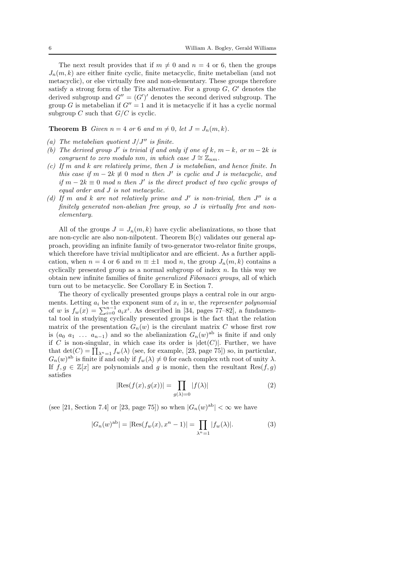The next result provides that if  $m \neq 0$  and  $n = 4$  or 6, then the groups  $J_n(m, k)$  are either finite cyclic, finite metacyclic, finite metabelian (and not metacyclic), or else virtually free and non-elementary. These groups therefore satisfy a strong form of the Tits alternative. For a group  $G, G'$  denotes the derived subgroup and  $G'' = (G')'$  denotes the second derived subgroup. The group G is metabelian if  $G'' = 1$  and it is metacyclic if it has a cyclic normal subgroup  $C$  such that  $G/C$  is cyclic.

**Theorem B** Given  $n = 4$  or 6 and  $m \neq 0$ , let  $J = J_n(m, k)$ .

- (a) The metabelian quotient  $J/J''$  is finite.
- (b) The derived group  $J'$  is trivial if and only if one of k,  $m k$ , or  $m 2k$  is congruent to zero modulo nm, in which case  $J \cong \mathbb{Z}_{nm}$ .
- (c) If m and k are relatively prime, then  $J$  is metabelian, and hence finite. In this case if  $m - 2k \neq 0 \mod n$  then J' is cyclic and J is metacyclic, and if  $m - 2k \equiv 0 \mod n$  then J' is the direct product of two cyclic groups of equal order and J is not metacyclic.
- (d) If m and k are not relatively prime and  $J'$  is non-trivial, then  $J''$  is a finitely generated non-abelian free group, so J is virtually free and nonelementary.

All of the groups  $J = J_n(m, k)$  have cyclic abelianizations, so those that are non-cyclic are also non-nilpotent. Theorem B(c) validates our general approach, providing an infinite family of two-generator two-relator finite groups, which therefore have trivial multiplicator and are efficient. As a further application, when  $n = 4$  or 6 and  $m \equiv \pm 1 \mod n$ , the group  $J_n(m, k)$  contains a cyclically presented group as a normal subgroup of index  $n$ . In this way we obtain new infinite families of finite generalized Fibonacci groups, all of which turn out to be metacyclic. See Corollary E in Section 7.

The theory of cyclically presented groups plays a central role in our arguments. Letting  $a_i$  be the exponent sum of  $x_i$  in  $w$ , the *representer polynomial* of w is  $f_w(x) = \sum_{i=0}^{n-1} a_i x^i$ . As described in [34, pages 77–82], a fundamental tool in studying cyclically presented groups is the fact that the relation matrix of the presentation  $G_n(w)$  is the circulant matrix C whose first row is  $(a_0 \ a_1 \ \ldots \ a_{n-1})$  and so the abelianization  $G_n(w)$ <sup>ab</sup> is finite if and only if C is non-singular, in which case its order is  $|\text{det}(C)|$ . Further, we have that  $\det(C) = \prod_{\lambda^n=1} f_w(\lambda)$  (see, for example, [23, page 75]) so, in particular,  $G_n(w)$ <sup>ab</sup> is finite if and only if  $f_w(\lambda) \neq 0$  for each complex nth root of unity  $\lambda$ . If  $f, g \in \mathbb{Z}[x]$  are polynomials and g is monic, then the resultant Res $(f, g)$ satisfies

$$
|\text{Res}(f(x), g(x))| = \prod_{g(\lambda) = 0} |f(\lambda)| \tag{2}
$$

(see [21, Section 7.4] or [23, page 75]) so when  $|G_n(w)^{ab}| < \infty$  we have

$$
|G_n(w)^{ab}| = |\text{Res}(f_w(x), x^n - 1)| = \prod_{\lambda^n = 1} |f_w(\lambda)|.
$$
 (3)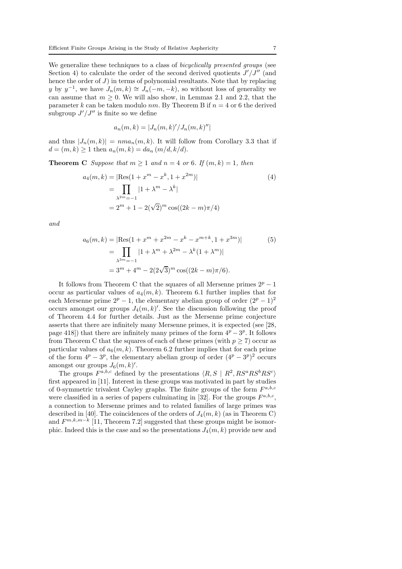We generalize these techniques to a class of *bicyclically presented groups* (see Section 4) to calculate the order of the second derived quotients  $J'/J''$  (and hence the order of  $J$ ) in terms of polynomial resultants. Note that by replacing y by  $y^{-1}$ , we have  $J_n(m, k) \cong J_n(-m, -k)$ , so without loss of generality we can assume that  $m \geq 0$ . We will also show, in Lemmas 2.1 and 2.2, that the parameter k can be taken modulo nm. By Theorem B if  $n = 4$  or 6 the derived subgroup  $J'/J''$  is finite so we define

$$
a_n(m,k) = |J_n(m,k)'/J_n(m,k)''|
$$

and thus  $|J_n(m, k)| = nm a_n(m, k)$ . It will follow from Corollary 3.3 that if  $d = (m, k) \ge 1$  then  $a_n(m, k) = da_n (m/d, k/d)$ .

**Theorem C** Suppose that  $m \geq 1$  and  $n = 4$  or 6. If  $(m, k) = 1$ , then

$$
a_4(m,k) = |\text{Res}(1 + x^m - x^k, 1 + x^{2m})|
$$
  
= 
$$
\prod_{\lambda^{2m}=-1} |1 + \lambda^m - \lambda^k|
$$
  
= 
$$
2^m + 1 - 2(\sqrt{2})^m \cos((2k - m)\pi/4)
$$
 (4)

and

$$
a_6(m, k) = |\text{Res}(1 + x^m + x^{2m} - x^k - x^{m+k}, 1 + x^{3m})|
$$
  
= 
$$
\prod_{\lambda^{3m} = -1} |1 + \lambda^m + \lambda^{2m} - \lambda^k (1 + \lambda^m)|
$$
  
= 
$$
3^m + 4^m - 2(2\sqrt{3})^m \cos((2k - m)\pi/6).
$$
 (5)

It follows from Theorem C that the squares of all Mersenne primes  $2^p - 1$ occur as particular values of  $a_4(m, k)$ . Theorem 6.1 further implies that for each Mersenne prime  $2^p - 1$ , the elementary abelian group of order  $(2^p - 1)^2$ occurs amongst our groups  $J_4(m, k)$ . See the discussion following the proof of Theorem 4.4 for further details. Just as the Mersenne prime conjecture asserts that there are infinitely many Mersenne primes, it is expected (see [28, page 418]) that there are infinitely many primes of the form  $4^p - 3^p$ . It follows from Theorem C that the squares of each of these primes (with  $p \geq 7$ ) occur as particular values of  $a_6(m, k)$ . Theorem 6.2 further implies that for each prime of the form  $4^p - 3^p$ , the elementary abelian group of order  $(4^p - 3^p)^2$  occurs amongst our groups  $J_6(m, k)$ '.

The groups  $F^{a,b,c}$  defined by the presentations  $\langle R, S | R^2, RS^aRS^bRS^c \rangle$ first appeared in [11]. Interest in these groups was motivated in part by studies of 0-symmetric trivalent Cayley graphs. The finite groups of the form  $F^{a,b,c}$ were classified in a series of papers culminating in [32]. For the groups  $F^{a,b,c}$ , a connection to Mersenne primes and to related families of large primes was described in [40]. The coincidences of the orders of  $J_4(m, k)$  (as in Theorem C) and  $F^{m,k,m-k}$  [11, Theorem 7.2] suggested that these groups might be isomorphic. Indeed this is the case and so the presentations  $J_4(m, k)$  provide new and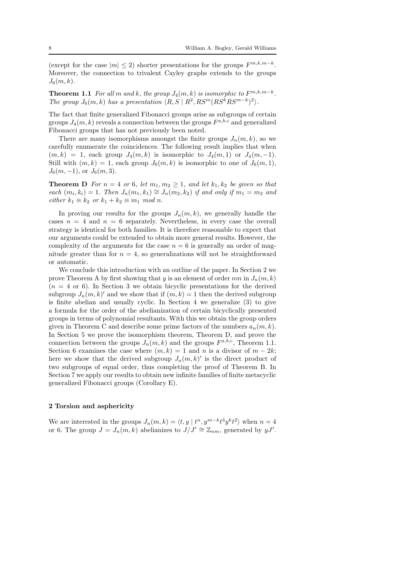(except for the case  $|m| \leq 2$ ) shorter presentations for the groups  $F^{m,k,m-k}$ . Moreover, the connection to trivalent Cayley graphs extends to the groups  $J_6(m, k)$ .

**Theorem 1.1** For all m and k, the group  $J_4(m, k)$  is isomorphic to  $F^{m, k, m-k}$ . The group  $J_6(m, k)$  has a presentation  $\langle R, S | R^2, RS^m(RS^kRS^{m-k})^2 \rangle$ .

The fact that finite generalized Fibonacci groups arise as subgroups of certain groups  $J_4(m, k)$  reveals a connection between the groups  $F^{a, b, c}$  and generalized Fibonacci groups that has not previously been noted.

There are many isomorphisms amongst the finite groups  $J_n(m, k)$ , so we carefully enumerate the coincidences. The following result implies that when  $(m, k) = 1$ , each group  $J_4(m, k)$  is isomorphic to  $J_4(m, 1)$  or  $J_4(m, -1)$ . Still with  $(m, k) = 1$ , each group  $J_6(m, k)$  is isomorphic to one of  $J_6(m, 1)$ ,  $J_6(m,-1)$ , or  $J_6(m,3)$ .

**Theorem D** For  $n = 4$  or 6, let  $m_1, m_2 \geq 1$ , and let  $k_1, k_2$  be given so that each  $(m_i, k_i) = 1$ . Then  $J_n(m_1, k_1) \cong J_n(m_2, k_2)$  if and only if  $m_1 = m_2$  and either  $k_1 \equiv k_2$  or  $k_1 + k_2 \equiv m_1 \mod n$ .

In proving our results for the groups  $J_n(m, k)$ , we generally handle the cases  $n = 4$  and  $n = 6$  separately. Nevertheless, in every case the overall strategy is identical for both families. It is therefore reasonable to expect that our arguments could be extended to obtain more general results. However, the complexity of the arguments for the case  $n = 6$  is generally an order of magnitude greater than for  $n = 4$ , so generalizations will not be straightforward or automatic.

We conclude this introduction with an outline of the paper. In Section 2 we prove Theorem A by first showing that y is an element of order  $nm$  in  $J_n(m, k)$  $(n = 4 \text{ or } 6)$ . In Section 3 we obtain bicyclic presentations for the derived subgroup  $J_n(m, k)$  and we show that if  $(m, k) = 1$  then the derived subgroup is finite abelian and usually cyclic. In Section 4 we generalize (3) to give a formula for the order of the abelianization of certain bicyclically presented groups in terms of polynomial resultants. With this we obtain the group orders given in Theorem C and describe some prime factors of the numbers  $a_n(m, k)$ . In Section 5 we prove the isomorphism theorem, Theorem D, and prove the connection between the groups  $J_n(m, k)$  and the groups  $F^{a,b,c}$ , Theorem 1.1. Section 6 examines the case where  $(m, k) = 1$  and n is a divisor of  $m - 2k$ ; here we show that the derived subgroup  $J_n(m, k)'$  is the direct product of two subgroups of equal order, thus completing the proof of Theorem B. In Section 7 we apply our results to obtain new infinite families of finite metacyclic generalized Fibonacci groups (Corollary E).

#### 2 Torsion and asphericity

We are interested in the groups  $J_n(m, k) = \langle t, y | t^n, y^{m-k} t^3 y^k t^2 \rangle$  when  $n = 4$ or 6. The group  $J = J_n(m, k)$  abelianizes to  $J/J' \cong \mathbb{Z}_{nm}$ , generated by  $yJ'$ .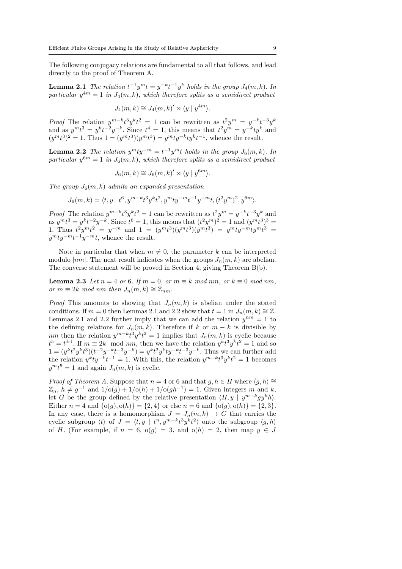The following conjugacy relations are fundamental to all that follows, and lead directly to the proof of Theorem A.

**Lemma 2.1** The relation  $t^{-1}y^m t = y^{-k}t^{-1}y^k$  holds in the group  $J_4(m, k)$ . In particular  $y^{4m} = 1$  in  $J_4(m, k)$ , which therefore splits as a semidirect product

$$
J_4(m,k) \cong J_4(m,k)' \rtimes \langle y \mid y^{4m} \rangle.
$$

Proof The relation  $y^{m-k}t^3y^kt^2 = 1$  can be rewritten as  $t^2y^m = y^{-k}t^{-3}y^k$ and as  $y^m t^3 = y^k t^{-2} y^{-k}$ . Since  $t^4 = 1$ , this means that  $t^2 y^m = y^{-k} t y^k$  and  $(y^{m}t^{3})^{2} = 1$ . Thus  $1 = (y^{m}t^{3})(y^{m}t^{3}) = y^{m}ty^{-k}ty^{k}t^{-1}$ , whence the result.

**Lemma 2.2** The relation  $y^m ty^{-m} = t^{-1}y^m t$  holds in the group  $J_6(m, k)$ . In particular  $y^{6m} = 1$  in  $J_6(m, k)$ , which therefore splits as a semidirect product

$$
J_6(m,k) \cong J_6(m,k)' \rtimes \langle y \mid y^{6m} \rangle.
$$

The group  $J_6(m, k)$  admits an expanded presentation

$$
J_6(m,k) = \langle t, y | t^6, y^{m-k} t^3 y^k t^2, y^m t y^{-m} t^{-1} y^{-m} t, (t^2 y^m)^2, y^{6m} \rangle.
$$

*Proof* The relation  $y^{m-k}t^3y^kt^2 = 1$  can be rewritten as  $t^2y^m = y^{-k}t^{-3}y^k$  and as  $y^m t^3 = y^k t^{-2} y^{-k}$ . Since  $t^6 = 1$ , this means that  $(t^2 y^m)^2 = 1$  and  $(y^m t^3)^3 =$ 1. Thus  $t^2y^mt^2 = y^{-m}$  and  $1 = (y^mt^3)(y^mt^3)(y^mt^3) = y^mty^{-m}ty^mt^3 = 1$  $y^m t y^{-m} t^{-1} y^{-m} t$ , whence the result.

Note in particular that when  $m \neq 0$ , the parameter k can be interpreted modulo  $|nm|$ . The next result indicates when the groups  $J_n(m, k)$  are abelian. The converse statement will be proved in Section 4, giving Theorem B(b).

**Lemma 2.3** Let  $n = 4$  or 6. If  $m = 0$ , or  $m \equiv k \mod nm$ , or  $k \equiv 0 \mod nm$ , or  $m \equiv 2k \mod nm$  then  $J_n(m, k) \cong \mathbb{Z}_{nm}$ .

*Proof* This amounts to showing that  $J_n(m, k)$  is abelian under the stated conditions. If  $m = 0$  then Lemmas 2.1 and 2.2 show that  $t = 1$  in  $J_n(m, k) \cong \mathbb{Z}$ . Lemmas 2.1 and 2.2 further imply that we can add the relation  $y^{nm} = 1$  to the defining relations for  $J_n(m, k)$ . Therefore if k or  $m - k$  is divisible by nm then the relation  $y^{m-k}t^3y^kt^2 = 1$  implies that  $J_n(m, k)$  is cyclic because  $t^5 = t^{\pm 1}$ . If  $m \equiv 2k \mod nm$ , then we have the relation  $y^k t^3 y^k t^2 = 1$  and so  $1 = (y^k t^2 y^k t^3)(t^{-2} y^{-k} t^{-3} y^{-k}) = y^k t^2 y^k t y^{-k} t^{-3} y^{-k}$ . Thus we can further add the relation  $y^k t y^{-k} t^{-1} = 1$ . With this, the relation  $y^{m-k} t^3 y^k t^2 = 1$  becomes  $y^m t^5 = 1$  and again  $J_n(m, k)$  is cyclic.

*Proof of Theorem A.* Suppose that  $n = 4$  or 6 and that  $q, h \in H$  where  $\langle q, h \rangle \cong$  $\mathbb{Z}_n$ ,  $h \neq g^{-1}$  and  $1/\mathrm{o}(g) + 1/\mathrm{o}(h) + 1/\mathrm{o}(gh^{-1}) = 1$ . Given integers m and k, let G be the group defined by the relative presentation  $\langle H, y | y^{m-k}gy^kh \rangle$ . Either  $n = 4$  and  $\{o(g), o(h)\} = \{2, 4\}$  or else  $n = 6$  and  $\{o(g), o(h)\} = \{2, 3\}.$ In any case, there is a homomorphism  $J = J_n(m, k) \rightarrow G$  that carries the cyclic subgroup  $\langle t \rangle$  of  $J = \langle t, y | t^n, y^{m-k}t^3y^kt^2 \rangle$  onto the subgroup  $\langle g, h \rangle$ of H. (For example, if  $n = 6$ ,  $o(g) = 3$ , and  $o(h) = 2$ , then map  $y \in J$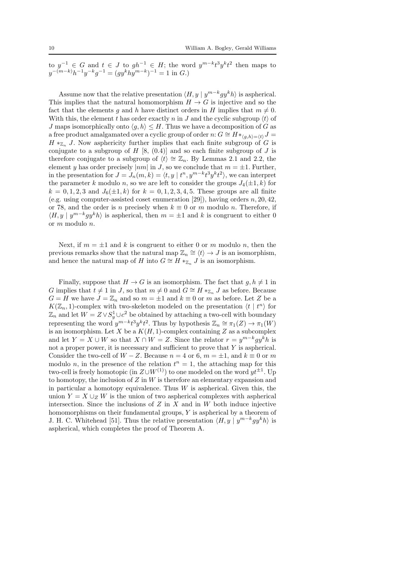to  $y^{-1} \in G$  and  $t \in J$  to  $gh^{-1} \in H$ ; the word  $y^{m-k}t^3y^kt^2$  then maps to  $y^{-(m-k)}h^{-1}y^{-k}g^{-1} = (gy^khy^{m-k})^{-1} = 1$  in G.)

Assume now that the relative presentation  $\langle H, y | y^{m-k} g y^k h \rangle$  is aspherical. This implies that the natural homomorphism  $H \to G$  is injective and so the fact that the elements q and h have distinct orders in H implies that  $m \neq 0$ . With this, the element t has order exactly n in J and the cyclic subgroup  $\langle t \rangle$  of J maps isomorphically onto  $\langle q, h \rangle \leq H$ . Thus we have a decomposition of G as a free product amalgamated over a cyclic group of order n:  $G \cong H *_{\langle q,h \rangle = \langle t \rangle} J =$  $H *_{\mathbb{Z}_n} J$ . Now asphericity further implies that each finite subgroup of G is conjugate to a subgroup of  $H$  [8, (0.4)] and so each finite subgroup of  $J$  is therefore conjugate to a subgroup of  $\langle t \rangle \cong \mathbb{Z}_n$ . By Lemmas 2.1 and 2.2, the element y has order precisely  $|nm|$  in J, so we conclude that  $m = \pm 1$ . Further, in the presentation for  $J = J_n(m, k) = \langle t, y | t^n, y^{m-k} t^3 y^k t^2 \rangle$ , we can interpret the parameter k modulo n, so we are left to consider the groups  $J_4(\pm 1, k)$  for  $k = 0, 1, 2, 3$  and  $J_6(\pm 1, k)$  for  $k = 0, 1, 2, 3, 4, 5$ . These groups are all finite (e.g. using computer-assisted coset enumeration [29]), having orders  $n, 20, 42$ , or 78, and the order is n precisely when  $k \equiv 0$  or m modulo n. Therefore, if  $\langle H, y | y^{m-k}gy^k h \rangle$  is aspherical, then  $m = \pm 1$  and k is congruent to either 0 or m modulo n.

Next, if  $m = \pm 1$  and k is congruent to either 0 or m modulo n, then the previous remarks show that the natural map  $\mathbb{Z}_n \cong \langle t \rangle \to J$  is an isomorphism, and hence the natural map of H into  $G \cong H *_{\mathbb{Z}_n} J$  is an isomorphism.

Finally, suppose that  $H \to G$  is an isomorphism. The fact that  $q, h \neq 1$  in G implies that  $t \neq 1$  in J, so that  $m \neq 0$  and  $G \cong H *_{\mathbb{Z}_n} J$  as before. Because  $G = H$  we have  $J = \mathbb{Z}_n$  and so  $m = \pm 1$  and  $k \equiv 0$  or m as before. Let Z be a  $K(\mathbb{Z}_n, 1)$ -complex with two-skeleton modeled on the presentation  $\langle t | t^n \rangle$  for  $\mathbb{Z}_n$  and let  $W = Z \vee S^1_y \cup c^2$  be obtained by attaching a two-cell with boundary representing the word  $y^{m-k}t^3y^kt^2$ . Thus by hypothesis  $\mathbb{Z}_n \cong \pi_1(Z) \to \pi_1(W)$ is an isomorphism. Let X be a  $K(H, 1)$ -complex containing Z as a subcomplex and let  $Y = X \cup W$  so that  $X \cap W = Z$ . Since the relator  $r = y^{m-k}gy^kh$  is not a proper power, it is necessary and sufficient to prove that  $Y$  is aspherical. Consider the two-cell of  $W - Z$ . Because  $n = 4$  or 6,  $m = \pm 1$ , and  $k \equiv 0$  or m modulo *n*, in the presence of the relation  $t^n = 1$ , the attaching map for this two-cell is freely homotopic (in  $Z\cup W^{(1)}$ ) to one modeled on the word  $yt^{\pm 1}$ . Up to homotopy, the inclusion of  $Z$  in  $W$  is therefore an elementary expansion and in particular a homotopy equivalence. Thus  $W$  is aspherical. Given this, the union  $Y = X \cup_Z W$  is the union of two aspherical complexes with aspherical intersection. Since the inclusions of  $Z$  in  $X$  and in  $W$  both induce injective homomorphisms on their fundamental groups,  $Y$  is aspherical by a theorem of J. H. C. Whitehead [51]. Thus the relative presentation  $\langle H, y | y^{m-k} gy^k h \rangle$  is aspherical, which completes the proof of Theorem A.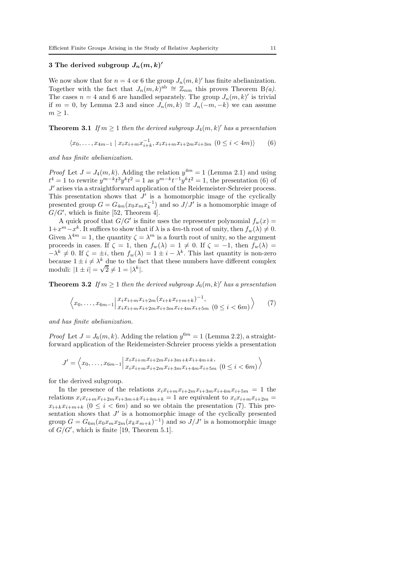## 3 The derived subgroup  $J_n(m, k)$ '

We now show that for  $n = 4$  or 6 the group  $J_n(m, k)'$  has finite abelianization. Together with the fact that  $J_n(m,k)^{ab} \cong \mathbb{Z}_{nm}$  this proves Theorem B(a). The cases  $n = 4$  and 6 are handled separately. The group  $J_n(m, k)'$  is trivial if  $m = 0$ , by Lemma 2.3 and since  $J_n(m, k) \cong J_n(-m, -k)$  we can assume  $m \geq 1$ .

**Theorem 3.1** If  $m \geq 1$  then the derived subgroup  $J_4(m, k)'$  has a presentation

$$
\langle x_0, \dots, x_{4m-1} \mid x_i x_{i+m} x_{i+k}^{-1}, x_i x_{i+m} x_{i+2m} x_{i+3m} \ (0 \le i < 4m) \rangle \tag{6}
$$

and has finite abelianization.

*Proof* Let  $J = J_4(m, k)$ . Adding the relation  $y^{4m} = 1$  (Lemma 2.1) and using  $t^4 = 1$  to rewrite  $y^{m-k}t^3y^kt^2 = 1$  as  $y^{m-k}t^{-1}y^kt^2 = 1$ , the presentation (6) of J ′ arises via a straightforward application of the Reidemeister-Schreier process. This presentation shows that  $J'$  is a homomorphic image of the cyclically presented group  $G = G_{4m}(x_0 x_m x_k^{-1})$  and so  $J/J'$  is a homomorphic image of  $G/G'$ , which is finite [52, Theorem 4].

A quick proof that  $G/G'$  is finite uses the representer polynomial  $f_w(x) =$  $1+x^m-x^k$ . It suffices to show that if  $\lambda$  is a 4m-th root of unity, then  $f_w(\lambda) \neq 0$ . Given  $\lambda^{4m} = 1$ , the quantity  $\zeta = \lambda^m$  is a fourth root of unity, so the argument proceeds in cases. If  $\zeta = 1$ , then  $f_w(\lambda) = 1 \neq 0$ . If  $\zeta = -1$ , then  $f_w(\lambda) =$  $-\lambda^k \neq 0$ . If  $\zeta = \pm i$ , then  $f_w(\lambda) = 1 \pm i - \lambda^k$ . This last quantity is non-zero because  $1 \pm i \neq \lambda^k$  due to the fact that these numbers have different complex moduli:  $|1 \pm i| = \sqrt{2} \neq 1 = |\lambda^k|.$ 

**Theorem 3.2** If  $m \geq 1$  then the derived subgroup  $J_6(m, k)'$  has a presentation

$$
\left\langle x_0, \ldots, x_{6m-1} \Big| \begin{array}{l} x_i x_{i+m} x_{i+2m} (x_{i+k} x_{i+m+k})^{-1}, \\ x_i x_{i+m} x_{i+2m} x_{i+3m} x_{i+4m} x_{i+5m} \end{array} \right. (7)
$$

and has finite abelianization.

*Proof* Let  $J = J_6(m, k)$ . Adding the relation  $y^{6m} = 1$  (Lemma 2.2), a straightforward application of the Reidemeister-Schreier process yields a presentation

$$
J' = \left\langle x_0, \dots, x_{6m-1} \Big| \begin{matrix} x_i x_{i+m} x_{i+2m} x_{i+3m+k} x_{i+4m+k}, \\ x_i x_{i+m} x_{i+2m} x_{i+3m} x_{i+4m} x_{i+5m} \end{matrix} \Big| 0 \le i < 6m \right\rangle
$$

for the derived subgroup.

In the presence of the relations  $x_i x_{i+m} x_{i+2m} x_{i+3m} x_{i+4m} x_{i+5m} = 1$  the relations  $x_i x_{i+m} x_{i+2m} x_{i+3m+k} x_{i+4m+k} = 1$  are equivalent to  $x_i x_{i+m} x_{i+2m} =$  $x_{i+k}x_{i+m+k}$   $(0 \leq i \leq 6m)$  and so we obtain the presentation (7). This presentation shows that  $J'$  is a homomorphic image of the cyclically presented group  $G = G_{6m}(x_0 x_m x_{2m}(x_k x_{m+k})^{-1})$  and so  $J/J'$  is a homomorphic image of  $G/G'$ , which is finite [19, Theorem 5.1].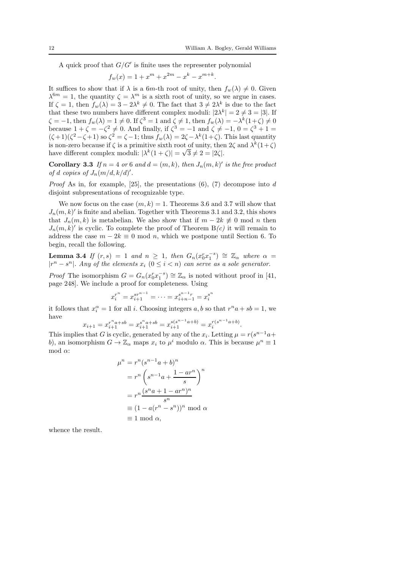.

A quick proof that  $G/G'$  is finite uses the representer polynomial

$$
f_w(x) = 1 + x^m + x^{2m} - x^k - x^{m+k}.
$$

It suffices to show that if  $\lambda$  is a 6m-th root of unity, then  $f_w(\lambda) \neq 0$ . Given  $\lambda^{6m} = 1$ , the quantity  $\zeta = \lambda^m$  is a sixth root of unity, so we argue in cases. If  $\zeta = 1$ , then  $f_w(\lambda) = 3 - 2\lambda^k \neq 0$ . The fact that  $3 \neq 2\lambda^k$  is due to the fact that these two numbers have different complex moduli:  $|2\lambda^k| = 2 \neq 3 = |3|$ . If  $\zeta = -1$ , then  $f_w(\lambda) = 1 \neq 0$ . If  $\zeta^3 = 1$  and  $\zeta \neq 1$ , then  $f_w(\lambda) = -\lambda^k (1 + \zeta) \neq 0$ because  $1 + \zeta = -\zeta^2 \neq 0$ . And finally, if  $\zeta^3 = -1$  and  $\zeta \neq -1$ ,  $0 = \zeta^3 + 1 =$  $(\zeta+1)(\zeta^2-\zeta+1)$  so  $\zeta^2=\zeta-1$ ; thus  $f_w(\lambda)=2\zeta-\lambda^k(1+\zeta)$ . This last quantity is non-zero because if  $\zeta$  is a primitive sixth root of unity, then  $2\zeta$  and  $\lambda^k(1+\zeta)$ have different complex moduli:  $|\lambda^k(1+\zeta)| = \sqrt{3} \neq 2 = |2\zeta|$ .

**Corollary 3.3** If  $n = 4$  or 6 and  $d = (m, k)$ , then  $J_n(m, k)'$  is the free product of d copies of  $J_n(m/d, k/d)'$ .

*Proof* As in, for example, [25], the presentations  $(6)$ ,  $(7)$  decompose into d disjoint subpresentations of recognizable type.

We now focus on the case  $(m, k) = 1$ . Theorems 3.6 and 3.7 will show that  $J_n(m, k)'$  is finite and abelian. Together with Theorems 3.1 and 3.2, this shows that  $J_n(m, k)$  is metabelian. We also show that if  $m - 2k \neq 0 \mod n$  then  $J_n(m, k)'$  is cyclic. To complete the proof of Theorem  $B(c)$  it will remain to address the case  $m - 2k \equiv 0 \mod n$ , which we postpone until Section 6. To begin, recall the following.

**Lemma 3.4** If  $(r, s) = 1$  and  $n \ge 1$ , then  $G_n(x_0^r x_1^{-s}) \cong \mathbb{Z}_{\alpha}$  where  $\alpha =$  $|r^n - s^n|$ . Any of the elements  $x_i$   $(0 \le i < n)$  can serve as a sole generator.

*Proof* The isomorphism  $G = G_n(x_0^r x_1^{-s}) \cong \mathbb{Z}_{\alpha}$  is noted without proof in [41, page 248]. We include a proof for completeness. Using

$$
x_i^{r^n} = x_{i+1}^{sr^{n-1}} = \dots = x_{i+n-1}^{s^{n-1}r} = x_i^{s^n}
$$

it follows that  $x_i^{\alpha} = 1$  for all *i*. Choosing integers a, b so that  $r^n a + sb = 1$ , we have

$$
x_{i+1} = x_{i+1}^{r^n a + sb} = x_{i+1}^{s^n a + sb} = x_{i+1}^{s(s^{n-1} a + b)} = x_i^{r(s^{n-1} a + b)}
$$

This implies that G is cyclic, generated by any of the  $x_i$ . Letting  $\mu = r(s^{n-1}a +$ b), an isomorphism  $G \to \mathbb{Z}_{\alpha}$  maps  $x_i$  to  $\mu^i$  modulo  $\alpha$ . This is because  $\mu^n \equiv 1$ mod  $α$ :

$$
\mu^{n} = r^{n} (s^{n-1}a + b)^{n}
$$

$$
= r^{n} \left( s^{n-1}a + \frac{1 - ar^{n}}{s} \right)^{n}
$$

$$
= r^{n} \frac{(s^{n}a + 1 - ar^{n})^{n}}{s^{n}}
$$

$$
\equiv (1 - a(r^{n} - s^{n}))^{n} \mod \alpha
$$

$$
\equiv 1 \mod \alpha,
$$

whence the result.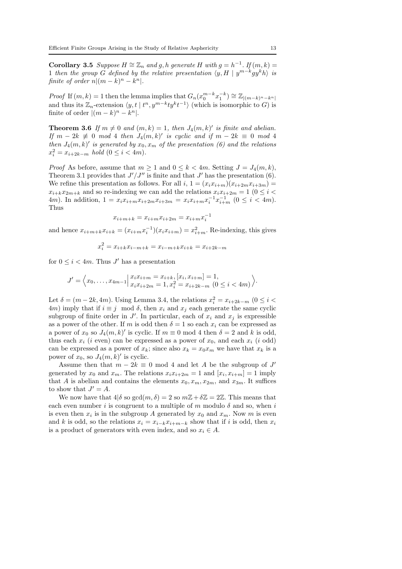**Corollary 3.5** Suppose  $H \cong \mathbb{Z}_n$  and g, h generate H with  $g = h^{-1}$ . If  $(m, k) =$ 1 then the group G defined by the relative presentation  $\langle y, H | y^{m-k} g y^k h \rangle$  is finite of order  $n|(m-k)^n - k^n|$ .

*Proof* If  $(m, k) = 1$  then the lemma implies that  $G_n(x_0^{m-k}x_1^{-k}) \cong \mathbb{Z}_{|(m-k)^n - k^n|}$ and thus its  $\mathbb{Z}_n$ -extension  $\langle y, t | t^n, y^{m-k}t y^k t^{-1} \rangle$  (which is isomorphic to G) is finite of order  $|(m-k)^n - k^n|$ .

**Theorem 3.6** If  $m \neq 0$  and  $(m, k) = 1$ , then  $J_4(m, k)'$  is finite and abelian. If  $m - 2k \not\equiv 0 \mod 4$  then  $J_4(m, k)'$  is cyclic and if  $m - 2k \equiv 0 \mod 4$ then  $J_4(m, k)$ ' is generated by  $x_0, x_m$  of the presentation (6) and the relations  $x_i^2 = x_{i+2k-m}$  hold  $(0 \le i < 4m)$ .

*Proof* As before, assume that  $m \geq 1$  and  $0 \leq k < 4m$ . Setting  $J = J_4(m, k)$ , Theorem 3.1 provides that  $J'/J''$  is finite and that  $J'$  has the presentation (6). We refine this presentation as follows. For all  $i, 1 = (x_i x_{i+m})(x_{i+2m} x_{i+3m}) =$  $x_{i+k}x_{2m+k}$  and so re-indexing we can add the relations  $x_ix_{i+2m} = 1$  ( $0 \le i <$ 4*m*). In addition,  $1 = x_i x_{i+m} x_{i+2m} x_{i+3m} = x_i x_{i+m} x_i^{-1} x_{i+m}^{-1}$   $(0 \le i \le 4m)$ . Thus

$$
x_{i+m+k} = x_{i+m} x_{i+2m} = x_{i+m} x_i^{-1}
$$

and hence  $x_{i+m+k}x_{i+k} = (x_{i+m}x_i^{-1})(x_ix_{i+m}) = x_{i+m}^2$ . Re-indexing, this gives

$$
x_i^2 = x_{i+k}x_{i-m+k} = x_{i-m+k}x_{i+k} = x_{i+2k-m}
$$

for  $0 \leq i < 4m$ . Thus J' has a presentation

$$
J' = \left\langle x_0, \dots, x_{4m-1} \Big| \begin{matrix} x_i x_{i+m} = x_{i+k}, [x_i, x_{i+m}] = 1, \\ x_i x_{i+2m} = 1, x_i^2 = x_{i+2k-m} \ (0 \le i < 4m) \end{matrix} \right\rangle.
$$

Let  $\delta = (m - 2k, 4m)$ . Using Lemma 3.4, the relations  $x_i^2 = x_{i+2k-m}$   $(0 \le i \le n)$ 4m) imply that if  $i \equiv j \mod \delta$ , then  $x_i$  and  $x_j$  each generate the same cyclic subgroup of finite order in  $J'$ . In particular, each of  $x_i$  and  $x_j$  is expressible as a power of the other. If m is odd then  $\delta = 1$  so each  $x_i$  can be expressed as a power of  $x_0$  so  $J_4(m, k)'$  is cyclic. If  $m \equiv 0 \mod 4$  then  $\delta = 2$  and k is odd, thus each  $x_i$  (*i* even) can be expressed as a power of  $x_0$ , and each  $x_i$  (*i* odd) can be expressed as a power of  $x_k$ ; since also  $x_k = x_0 x_m$  we have that  $x_k$  is a power of  $x_0$ , so  $J_4(m, k)'$  is cyclic.

Assume then that  $m - 2k \equiv 0 \mod 4$  and let A be the subgroup of J' generated by  $x_0$  and  $x_m$ . The relations  $x_i x_{i+2m} = 1$  and  $[x_i, x_{i+m}] = 1$  imply that A is abelian and contains the elements  $x_0, x_m, x_{2m}$ , and  $x_{3m}$ . It suffices to show that  $J' = A$ .

We now have that  $4|\delta$  so  $gcd(m, \delta) = 2$  so  $m\mathbb{Z} + \delta \mathbb{Z} = 2\mathbb{Z}$ . This means that each even number i is congruent to a multiple of m modulo  $\delta$  and so, when i is even then  $x_i$  is in the subgroup A generated by  $x_0$  and  $x_m$ . Now m is even and k is odd, so the relations  $x_i = x_{i-k}x_{i+m-k}$  show that if i is odd, then  $x_i$ is a product of generators with even index, and so  $x_i \in A$ .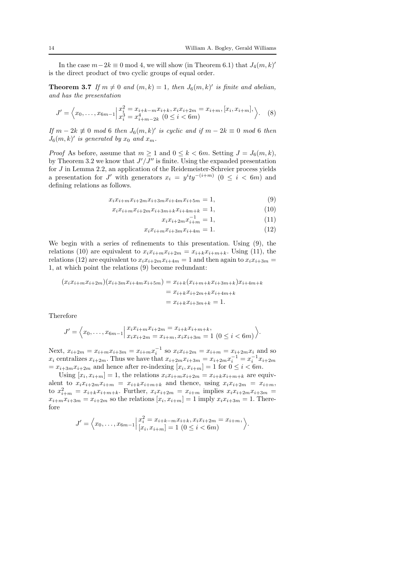In the case  $m-2k \equiv 0 \mod 4$ , we will show (in Theorem 6.1) that  $J_4(m, k)$ ' is the direct product of two cyclic groups of equal order.

**Theorem 3.7** If  $m \neq 0$  and  $(m, k) = 1$ , then  $J_6(m, k)'$  is finite and abelian, and has the presentation

$$
J' = \left\langle x_0, \dots, x_{6m-1} \Big| \begin{matrix} x_i^2 = x_{i+k-m} x_{i+k}, x_i x_{i+2m} = x_{i+m}, [x_i, x_{i+m}], \\ x_i^3 = x_{i+m-2k}^4 \ (0 \le i < 6m) \end{matrix} \right\rangle. \tag{8}
$$

If  $m - 2k \not\equiv 0 \mod 6$  then  $J_6(m, k)'$  is cyclic and if  $m - 2k \equiv 0 \mod 6$  then  $J_6(m, k)'$  is generated by  $x_0$  and  $x_m$ .

*Proof* As before, assume that  $m > 1$  and  $0 \le k \le 6m$ . Setting  $J = J_6(m, k)$ , by Theorem 3.2 we know that  $J'/J''$  is finite. Using the expanded presentation for J in Lemma 2.2, an application of the Reidemeister-Schreier process yields a presentation for J' with generators  $x_i = y^i t y^{-(i+m)}$  (0 ≤ i < 6m) and defining relations as follows.

$$
x_i x_{i+m} x_{i+2m} x_{i+3m} x_{i+4m} x_{i+5m} = 1,\t\t(9)
$$

$$
x_i x_{i+m} x_{i+2m} x_{i+3m+k} x_{i+4m+k} = 1,
$$
\n(10)

 $x_i x_{i+2m} x_{i+m}^{-1} = 1,$  (11)

$$
x_i x_{i+m} x_{i+3m} x_{i+4m} = 1.
$$
 (12)

We begin with a series of refinements to this presentation. Using (9), the relations (10) are equivalent to  $x_i x_{i+m} x_{i+2m} = x_{i+k} x_{i+m+k}$ . Using (11), the relations (12) are equivalent to  $x_i x_{i+2m} x_{i+4m} = 1$  and then again to  $x_i x_{i+3m} =$ 1, at which point the relations (9) become redundant:

$$
(x_i x_{i+m} x_{i+2m})(x_{i+3m} x_{i+4m} x_{i+5m}) = x_{i+k} (x_{i+m+k} x_{i+3m+k}) x_{i+4m+k}
$$
  
=  $x_{i+k} x_{i+2m+k} x_{i+4m+k}$   
=  $x_{i+k} x_{i+3m+k} = 1$ .

Therefore

$$
J' = \left\langle x_0, \dots, x_{6m-1} \Big| \begin{matrix} x_i x_{i+m} x_{i+2m} = x_{i+k} x_{i+m+k}, \\ x_i x_{i+2m} = x_{i+m}, x_i x_{i+3m} = 1 \ (0 \le i < 6m) \end{matrix} \right\rangle.
$$

Next,  $x_{i+2m} = x_{i+m}x_{i+3m} = x_{i+m}x_i^{-1}$  so  $x_ix_{i+2m} = x_{i+m} = x_{i+2m}x_i$  and so  $x_i$  centralizes  $x_{i+2m}$ . Thus we have that  $x_{i+2m}x_{i+3m} = x_{i+2m}x_i^{-1} = x_i^{-1}x_{i+2m}$  $= x_{i+3m}x_{i+2m}$  and hence after re-indexing  $[x_i, x_{i+m}] = 1$  for  $0 \le i < 6m$ .

Using  $[x_i, x_{i+m}] = 1$ , the relations  $x_i x_{i+m} x_{i+2m} = x_{i+k} x_{i+m+k}$  are equivalent to  $x_i x_{i+2m} x_{i+m} = x_{i+k} x_{i+m+k}$  and thence, using  $x_i x_{i+2m} = x_{i+m}$ , to  $x_{i+m}^2 = x_{i+k}x_{i+m+k}$ . Further,  $x_ix_{i+2m} = x_{i+m}$  implies  $x_ix_{i+2m}x_{i+3m} =$  $x_{i+m}x_{i+3m} = x_{i+2m}$  so the relations  $[x_i, x_{i+m}] = 1$  imply  $x_i x_{i+3m} = 1$ . Therefore

$$
J' = \left\langle x_0, \ldots, x_{6m-1} \Big| \frac{x_i^2 = x_{i+k-m} x_{i+k}, x_i x_{i+2m} = x_{i+m}}{[x_i, x_{i+m}] = 1 \ (0 \le i < 6m)} \right\rangle.
$$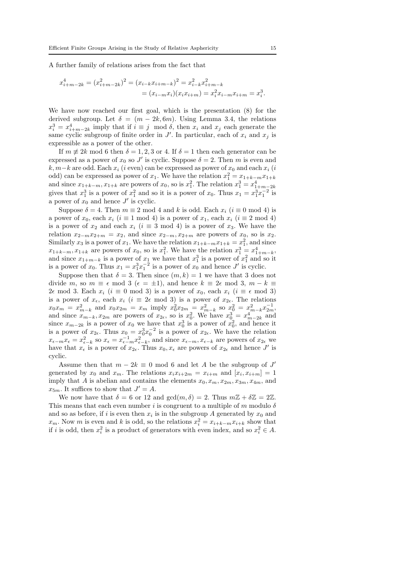A further family of relations arises from the fact that

$$
x_{i+m-2k}^4 = (x_{i+m-2k}^2)^2 = (x_{i-k}x_{i+m-k})^2 = x_{i-k}^2 x_{i+m-k}^2
$$
  
=  $(x_{i-m}x_i)(x_ix_{i+m}) = x_i^2 x_{i-m}x_{i+m} = x_i^3$ .

We have now reached our first goal, which is the presentation (8) for the derived subgroup. Let  $\delta = (m - 2k, 6m)$ . Using Lemma 3.4, the relations  $x_i^3 = x_{i+m-2k}^4$  imply that if  $i \equiv j \mod \delta$ , then  $x_i$  and  $x_j$  each generate the same cyclic subgroup of finite order in  $J'$ . In particular, each of  $x_i$  and  $x_j$  is expressible as a power of the other.

If  $m \not\equiv 2k \mod 6$  then  $\delta = 1, 2, 3 \text{ or } 4$ . If  $\delta = 1$  then each generator can be expressed as a power of  $x_0$  so J' is cyclic. Suppose  $\delta = 2$ . Then m is even and  $k, m-k$  are odd. Each  $x_i$  (i even) can be expressed as power of  $x_0$  and each  $x_i$  (i odd) can be expressed as power of  $x_1$ . We have the relation  $x_1^2 = x_{1+k-m}x_{1+k}$ and since  $x_{1+k-m}$ ,  $x_{1+k}$  are powers of  $x_0$ , so is  $x_1^2$ . The relation  $x_1^3 = x_{1+m-2k}^4$ gives that  $x_1^3$  is a power of  $x_1^2$  and so it is a power of  $x_0$ . Thus  $x_1 = x_1^3 x_1^{-2}$  is a power of  $x_0$  and hence  $J'$  is cyclic.

Suppose  $\delta = 4$ . Then  $m \equiv 2 \mod 4$  and k is odd. Each  $x_i$   $(i \equiv 0 \mod 4)$  is a power of  $x_0$ , each  $x_i$  ( $i \equiv 1 \mod 4$ ) is a power of  $x_1$ , each  $x_i$  ( $i \equiv 2 \mod 4$ ) is a power of  $x_2$  and each  $x_i$  ( $i \equiv 3 \mod 4$ ) is a power of  $x_3$ . We have the relation  $x_{2-m}x_{2+m} = x_2$ , and since  $x_{2-m}$ ,  $x_{2+m}$  are powers of  $x_0$ , so is  $x_2$ . Similarly  $x_3$  is a power of  $x_1$ . We have the relation  $x_{1+k-m}x_{1+k} = x_1^2$ , and since  $x_{1+k-m}, x_{1+k}$  are powers of  $x_0$ , so is  $x_1^2$ . We have the relation  $x_1^3 = x_{1+m-k}^4$ , and since  $x_{1+m-k}$  is a power of  $x_1$  we have that  $x_1^3$  is a power of  $x_1^2$  and so it is a power of  $x_0$ . Thus  $x_1 = x_1^3 x_1^{-2}$  is a power of  $x_0$  and hence  $J'$  is cyclic.

Suppose then that  $\delta = 3$ . Then since  $(m, k) = 1$  we have that 3 does not divide m, so  $m \equiv \epsilon \mod 3$  ( $\epsilon = \pm 1$ ), and hence  $k \equiv 2\epsilon \mod 3$ ,  $m - k \equiv$ 2 $\epsilon$  mod 3. Each  $x_i$  (i ≡ 0 mod 3) is a power of  $x_0$ , each  $x_i$  (i ≡  $\epsilon$  mod 3) is a power of  $x_{\epsilon}$ , each  $x_i$  ( $i \equiv 2\epsilon \mod 3$ ) is a power of  $x_{2\epsilon}$ . The relations  $x_0 x_m = x_{m-k}^2$  and  $x_0 x_{2m} = x_m$  imply  $x_0^2 x_{2m} = x_{m-k}^2$  so  $x_0^2 = x_{m-k}^2 x_{2m}^{-1}$ , and since  $x_{m-k}, x_{2m}$  are powers of  $x_{2\epsilon}$ , so is  $x_0^2$ . We have  $x_0^3 = x_{m-2k}^4$  and since  $x_{m-k}$ ,  $x_{2m}$  are powers of  $x_{2\epsilon}$ , so is  $x_0$ . We have  $x_0 = x_{m-2k}$  and since  $x_{m-2k}$  is a power of  $x_0$  we have that  $x_0^3$  is a power of  $x_0^2$ , and hence it is a power of  $x_{2\epsilon}$ . Thus  $x_0 = x_0^3 x_0^{-2}$  is a power of  $x_{2\epsilon}$ . We have the relation  $x_{\epsilon-m}x_{\epsilon} = x_{\epsilon-k}^2$  so  $x_{\epsilon} = x_{\epsilon-m}^{-1}x_{\epsilon-k}^2$ , and since  $x_{\epsilon-m}, x_{\epsilon-k}$  are powers of  $x_{2\epsilon}$  we have that  $x_{\epsilon}$  is a power of  $x_{2\epsilon}$ . Thus  $x_0, x_{\epsilon}$  are powers of  $x_{2\epsilon}$  and hence  $J'$  is cyclic.

Assume then that  $m - 2k \equiv 0 \mod 6$  and let A be the subgroup of J' generated by  $x_0$  and  $x_m$ . The relations  $x_i x_{i+2m} = x_{i+m}$  and  $[x_i, x_{i+m}] = 1$ imply that A is abelian and contains the elements  $x_0, x_m, x_{2m}, x_{3m}, x_{4m}$ , and  $x_{5m}$ . It suffices to show that  $J' = A$ .

We now have that  $\delta = 6$  or 12 and  $gcd(m, \delta) = 2$ . Thus  $m\mathbb{Z} + \delta \mathbb{Z} = 2\mathbb{Z}$ . This means that each even number i is congruent to a multiple of m modulo  $\delta$ and so as before, if i is even then  $x_i$  is in the subgroup A generated by  $x_0$  and  $x_m$ . Now m is even and k is odd, so the relations  $x_i^2 = x_{i+k-m}x_{i+k}$  show that if *i* is odd, then  $x_i^2$  is a product of generators with even index, and so  $x_i^2 \in A$ .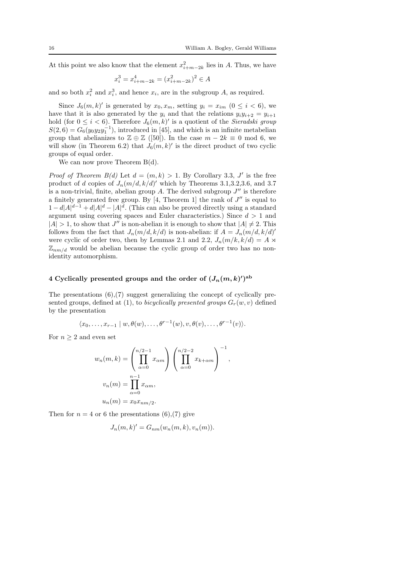At this point we also know that the element  $x_{i+m-2k}^2$  lies in A. Thus, we have

$$
x_i^3 = x_{i+m-2k}^4 = (x_{i+m-2k}^2)^2 \in A
$$

and so both  $x_i^2$  and  $x_i^3$ , and hence  $x_i$ , are in the subgroup A, as required.

Since  $J_6(m, k)'$  is generated by  $x_0, x_m$ , setting  $y_i = x_{im}$   $(0 \le i \le 6)$ , we have that it is also generated by the  $y_i$  and that the relations  $y_i y_{i+2} = y_{i+1}$ hold (for  $0 \leq i < 6$ ). Therefore  $J_6(m, k)'$  is a quotient of the Sieradski group  $S(2,6) = G_6(y_0y_2y_1^{-1})$ , introduced in [45], and which is an infinite metabelian group that abelianizes to  $\mathbb{Z} \oplus \mathbb{Z}$  ([50]). In the case  $m - 2k \equiv 0 \mod 6$ , we will show (in Theorem 6.2) that  $J_6(m, k)'$  is the direct product of two cyclic groups of equal order.

We can now prove Theorem  $B(d)$ .

*Proof of Theorem B(d)* Let  $d = (m, k) > 1$ . By Corollary 3.3, J' is the free product of d copies of  $J_n(m/d, k/d)'$  which by Theorems 3.1,3.2,3.6, and 3.7 is a non-trivial, finite, abelian group A. The derived subgroup  $J''$  is therefore a finitely generated free group. By  $[4,$  Theorem 1 the rank of  $J''$  is equal to  $1 - d|A|^{d-1} + d|A|^d - |A|^d$ . (This can also be proved directly using a standard argument using covering spaces and Euler characteristics.) Since  $d > 1$  and  $|A| > 1$ , to show that  $J''$  is non-abelian it is enough to show that  $|A| \neq 2$ . This follows from the fact that  $J_n(m/d, k/d)$  is non-abelian: if  $A = J_n(m/d, k/d)'$ were cyclic of order two, then by Lemmas 2.1 and 2.2,  $J_n(m/k, k/d) = A \times$  $\mathbb{Z}_{nm/d}$  would be abelian because the cyclic group of order two has no nonidentity automorphism.

## 4 Cyclically presented groups and the order of  $(J_n(m,k)')^{\text{ab}}$

The presentations (6),(7) suggest generalizing the concept of cyclically presented groups, defined at (1), to bicyclically presented groups  $G_r(w, v)$  defined by the presentation

$$
\langle x_0,\ldots,x_{r-1}\mid w,\theta(w),\ldots,\theta^{r-1}(w),v,\theta(v),\ldots,\theta^{r-1}(v)\rangle.
$$

For  $n \geq 2$  and even set

$$
w_n(m,k) = \left(\prod_{\alpha=0}^{n/2-1} x_{\alpha m}\right) \left(\prod_{\alpha=0}^{n/2-2} x_{k+\alpha m}\right)^{-1},
$$
  

$$
v_n(m) = \prod_{\alpha=0}^{n-1} x_{\alpha m},
$$
  

$$
u_n(m) = x_0 x_{nm/2}.
$$

Then for  $n = 4$  or 6 the presentations (6),(7) give

$$
J_n(m,k)' = G_{nm}(w_n(m,k),v_n(m)).
$$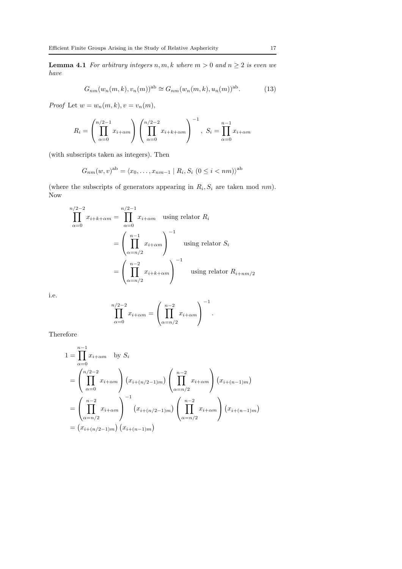**Lemma 4.1** For arbitrary integers  $n, m, k$  where  $m > 0$  and  $n \geq 2$  is even we have

$$
G_{nm}(w_n(m,k), v_n(m))^{\text{ab}} \cong G_{nm}(w_n(m,k), u_n(m))^{\text{ab}}.
$$
 (13)

Proof Let  $w = w_n(m, k), v = v_n(m)$ ,

$$
R_i = \left(\prod_{\alpha=0}^{n/2-1} x_{i+\alpha m}\right) \left(\prod_{\alpha=0}^{n/2-2} x_{i+k+\alpha m}\right)^{-1}, \ S_i = \prod_{\alpha=0}^{n-1} x_{i+\alpha m}
$$

(with subscripts taken as integers). Then

$$
G_{nm}(w,v)^{ab} = \langle x_0, \dots, x_{nm-1} | R_i, S_i \ (0 \le i < nm) \rangle^{ab}
$$

(where the subscripts of generators appearing in  $R_i, S_i$  are taken mod nm). Now

$$
\prod_{\alpha=0}^{n/2-2} x_{i+k+\alpha m} = \prod_{\alpha=0}^{n/2-1} x_{i+\alpha m} \quad \text{using relator } R_i
$$

$$
= \left(\prod_{\alpha=n/2}^{n-1} x_{i+\alpha m}\right)^{-1} \quad \text{using relator } S_i
$$

$$
= \left(\prod_{\alpha=n/2}^{n-2} x_{i+k+\alpha m}\right)^{-1} \quad \text{using relator } R_{i+nm/2}
$$

i.e.

$$
\prod_{\alpha=0}^{n/2-2} x_{i+\alpha m} = \left(\prod_{\alpha=n/2}^{n-2} x_{i+\alpha m}\right)^{-1}.
$$

Therefore

$$
1 = \prod_{\alpha=0}^{n-1} x_{i+\alpha m} \text{ by } S_i
$$
  
=  $\left( \prod_{\alpha=0}^{n/2-2} x_{i+\alpha m} \right) (x_{i+(n/2-1)m}) \left( \prod_{\alpha=n/2}^{n-2} x_{i+\alpha m} \right) (x_{i+(n-1)m})$   
=  $\left( \prod_{\alpha=n/2}^{n-2} x_{i+\alpha m} \right)^{-1} (x_{i+(n/2-1)m}) \left( \prod_{\alpha=n/2}^{n-2} x_{i+\alpha m} \right) (x_{i+(n-1)m})$   
=  $(x_{i+(n/2-1)m}) (x_{i+(n-1)m})$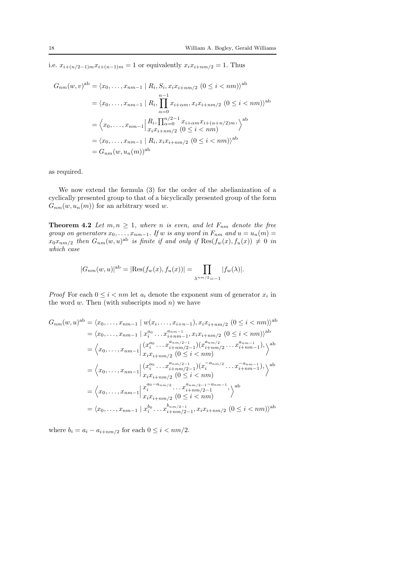i.e.  $x_{i+(n/2-1)m}x_{i+(n-1)m} = 1$  or equivalently  $x_ix_{i+nm/2} = 1$ . Thus

$$
G_{nm}(w, v)^{ab} = \langle x_0, \dots, x_{nm-1} | R_i, S_i, x_i x_{i+nm/2} (0 \le i < nm) \rangle^{ab}
$$
  
=  $\langle x_0, \dots, x_{nm-1} | R_i, \prod_{\alpha=0}^{n-1} x_{i+\alpha m}, x_i x_{i+nm/2} (0 \le i < nm) \rangle^{ab}$   
=  $\langle x_0, \dots, x_{nm-1} | R_i, \prod_{\alpha=0}^{n/2-1} x_{i+\alpha m} x_{i+(\alpha+n/2)m}, \rangle^{ab}$   
=  $\langle x_0, \dots, x_{nm-1} | R_i, x_i x_{i+nm/2} (0 \le i < nm) \rangle^{ab}$   
=  $\langle x_0, \dots, x_{nm-1} | R_i, x_i x_{i+nm/2} (0 \le i < nm) \rangle^{ab}$   
=  $G_{nm}(w, u_n(m))^{ab}$ 

as required.

We now extend the formula (3) for the order of the abelianization of a cyclically presented group to that of a bicyclically presented group of the form  $G_{nm}(w, u_n(m))$  for an arbitrary word w.

**Theorem 4.2** Let  $m, n \geq 1$ , where n is even, and let  $F_{nm}$  denote the free group on generators  $x_0, \ldots, x_{nm-1}$ . If w is any word in  $F_{nm}$  and  $u = u_n(m) =$  $x_0x_{nm/2}$  then  $G_{nm}(w,u)^{ab}$  is finite if and only if  $\text{Res}(f_w(x), f_u(x)) \neq 0$  in which case

$$
|G_{nm}(w,u)|^{\text{ab}} = |\text{Res}(f_w(x), f_u(x))| = \prod_{\lambda^{nm/2}=-1} |f_w(\lambda)|.
$$

*Proof* For each  $0 \le i < nm$  let  $a_i$  denote the exponent sum of generator  $x_i$  in the word  $w$ . Then (with subscripts mod  $n$ ) we have

$$
G_{nm}(w, u)^{ab} = \langle x_0, \dots, x_{nm-1} \mid w(x_i, \dots, x_{i+n-1}), x_i x_{i+nm/2} \ (0 \le i < nm) \rangle^{ab}
$$
  
\n
$$
= \langle x_0, \dots, x_{nm-1} \mid x_i^{a_0} \dots x_{i+nm-1}^{a_{nm-1}}, x_i x_{i+nm/2} \ (0 \le i < nm) \rangle^{ab}
$$
  
\n
$$
= \langle x_0, \dots, x_{nm-1} \mid \left( x_i^{a_0} \dots x_{i+nm/2-1}^{a_{nm/2-1}} \right) \left( x_{i+nm/2}^{a_{nm/2}} \dots x_{i+nm-1}^{a_{nm-1}} \right), \rangle^{ab}
$$
  
\n
$$
= \langle x_0, \dots, x_{nm-1} \mid \left( x_i^{a_0} \dots x_{i+nm/2-1}^{a_{nm/2-1}} \right) \left( x_i^{-a_{nm/2}} \dots x_{i+nm-1}^{-a_{nm-1}} \right), \rangle^{ab}
$$
  
\n
$$
= \langle x_0, \dots, x_{nm-1} \mid x_i^{a_0 - a_{nm/2}} \dots x_{i+nm/2-1}^{a_{nm/2-1} - a_{nm-1}}, \rangle^{ab}
$$
  
\n
$$
= \langle x_0, \dots, x_{nm-1} \mid x_i^{b_0} \dots x_{i+nm/2-1}^{b_{nm/2-1}}, x_i x_{i+nm/2} \ (0 \le i < nm)
$$
  
\n
$$
= \langle x_0, \dots, x_{nm-1} \mid x_i^{b_0} \dots x_{i+nm/2-1}^{b_{nm/2-1}}, x_i x_{i+nm/2} \ (0 \le i < nm) \rangle^{ab}
$$

where  $b_i = a_i - a_{i+nm/2}$  for each  $0 \leq i < nm/2$ .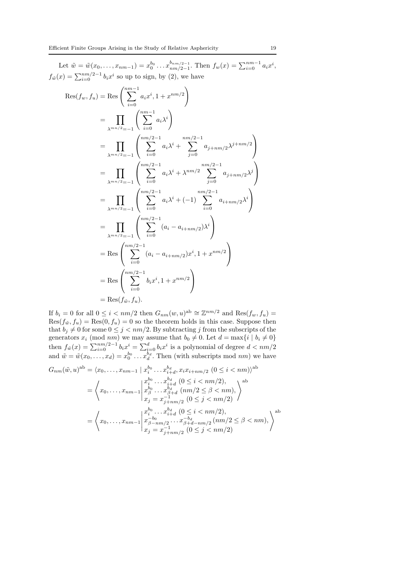Let  $\tilde{w} = \tilde{w}(x_0, \ldots, x_{nm-1}) = x_0^{b_0} \ldots x_{nm/2-1}^{b_{nm/2-1}}$  $\lim_{nm/2-1}$ . Then  $f_w(x) = \sum_{i=0}^{nm-1} a_i x^i$ ,  $f_{\tilde{w}}(x) = \sum_{i=0}^{nm/2-1} b_i x^i$  so up to sign, by (2), we have

$$
Res(f_w, f_u) = Res\left(\sum_{i=0}^{nm-1} a_i x^i, 1 + x^{nm/2}\right)
$$
  
\n
$$
= \prod_{\lambda^{mn/2}=-1} \left(\sum_{i=0}^{nm-1} a_i \lambda^i\right)
$$
  
\n
$$
= \prod_{\lambda^{mn/2}=-1} \left(\sum_{i=0}^{nm/2-1} a_i \lambda^i + \sum_{j=0}^{nm/2-1} a_{j+nm/2} \lambda^{j+nm/2}\right)
$$
  
\n
$$
= \prod_{\lambda^{mn/2}=-1} \left(\sum_{i=0}^{nm/2-1} a_i \lambda^i + \lambda^{nm/2} \sum_{j=0}^{nm/2-1} a_{j+nm/2} \lambda^j\right)
$$
  
\n
$$
= \prod_{\lambda^{mn/2}=-1} \left(\sum_{i=0}^{nm/2-1} a_i \lambda^i + (-1) \sum_{i=0}^{nm/2-1} a_{i+nm/2} \lambda^i\right)
$$
  
\n
$$
= \prod_{\lambda^{mn/2}=-1} \left(\sum_{i=0}^{nm/2-1} (a_i - a_{i+nm/2}) \lambda^i\right)
$$
  
\n
$$
= Res\left(\sum_{i=0}^{nm/2-1} (a_i - a_{i+nm/2}) x^i, 1 + x^{nm/2}\right)
$$
  
\n
$$
= Res\left(\sum_{i=0}^{nm/2-1} b_i x^i, 1 + x^{nm/2}\right)
$$
  
\n
$$
= Res(f_{\tilde{w}}, f_u).
$$

If  $b_i = 0$  for all  $0 \le i < nm/2$  then  $G_{nm}(w, u)$ <sup>ab</sup>  $\cong \mathbb{Z}^{nm/2}$  and  $\text{Res}(f_w, f_u) =$  $Res(f_{\tilde{w}}, f_u) = Res(0, f_u) = 0$  so the theorem holds in this case. Suppose then that  $b_j \neq 0$  for some  $0 \leq j < nm/2$ . By subtracting j from the subscripts of the generators  $x_i \pmod{nm}$  we may assume that  $b_0 \neq 0$ . Let  $d = \max\{i \mid b_i \neq 0\}$ then  $f_{\tilde{w}}(x) = \sum_{i=0}^{nm/2-1} b_i x^i = \sum_{i=0}^d b_i x^i$  is a polynomial of degree  $d < nm/2$ and  $\tilde{w} = \tilde{w}(x_0, \ldots, x_d) = x_0^{b_0} \ldots x_d^{b_d}$ . Then (with subscripts mod nm) we have

$$
G_{nm}(\tilde{w}, u)^{ab} = \langle x_0, \dots, x_{nm-1} \mid x_i^{b_0} \dots x_{i+d}^{b_d}, x_i x_{i+nm/2} \ (0 \le i < nm) \rangle^{ab}
$$
\n
$$
= \left\langle x_0, \dots, x_{nm-1} \mid \begin{array}{l} x_i^{b_0} \dots x_{i+d}^{b_d} \ (0 \le i < nm/2), \\ x_{b}^{b_0} \dots x_{b+d}^{b_d} \ (nm/2 \le \beta < nm), \\ x_j = x_{j+nm/2}^{-1} \ (0 \le j < nm/2) \end{array} \right\rangle^{ab}
$$
\n
$$
= \left\langle x_0, \dots, x_{nm-1} \mid \begin{array}{l} x_i^{b_0} \dots x_{i+d}^{b_d} \ (0 \le i < nm/2), \\ x_{b}^{b_0} \dots x_{i+d}^{b_d} \ (0 \le i < nm/2), \\ x_{b}^{b_0} \dots x_{b+d-nm/2}^{-b_d} \ (nm/2 \le \beta < nm), \\ x_j = x_{j+nm/2}^{-1} \ (0 \le j < nm/2) \end{array} \right\rangle^{ab}
$$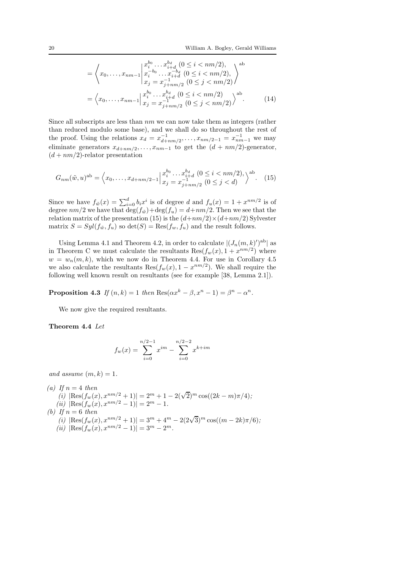$$
= \left\langle x_0, \dots, x_{nm-1} \middle| \begin{array}{l} x_i^{b_0} \dots x_{i+d}^{b_d} \ (0 \leq i < nm/2), \\ x_i^{-b_0} \dots x_{i+d}^{-b_d} \ (0 \leq i < nm/2), \\ x_j = x_{j+nm/2}^{-1} \ (0 \leq j < nm/2) \end{array} \right\rangle
$$
\n
$$
= \left\langle x_0, \dots, x_{nm-1} \middle| \begin{array}{l} x_i^{b_0} \dots x_{i+d}^{b_d} \ (0 \leq i < nm/2) \\ x_j = x_{j+nm/2}^{-1} \ (0 \leq j < nm/2) \end{array} \right\rangle
$$
ab. (14)

Since all subscripts are less than  $nm$  we can now take them as integers (rather than reduced modulo some base), and we shall do so throughout the rest of the proof. Using the relations  $x_d = x_{d+nm/2}^{-1}, \ldots, x_{nm/2-1} = x_{nm-1}^{-1}$  we may eliminate generators  $x_{d+nm/2}, \ldots, x_{nm-1}$  to get the  $(d + nm/2)$ -generator,  $(d + nm/2)$ -relator presentation

$$
G_{nm}(\tilde{w}, u)^{ab} = \left\langle x_0, \dots, x_{d+nm/2-1} \Big| \begin{matrix} x_0^{b_0} \dots x_{i+d}^{b_d} \ (0 \le i < nm/2), \\ x_j = x_{j+nm/2}^{-1} \ (0 \le j < d) \end{matrix} \right\rangle^{ab}.
$$
 (15)

Since we have  $f_{\tilde{w}}(x) = \sum_{i=0}^d b_i x^i$  is of degree d and  $f_u(x) = 1 + x^{nm/2}$  is of degree  $nm/2$  we have that  $\deg(f_w) + \deg(f_u) = d + nm/2$ . Then we see that the relation matrix of the presentation (15) is the  $(d+nm/2) \times (d+nm/2)$  Sylvester matrix  $S = Syl(f_{\tilde{w}}, f_u)$  so  $\det(S) = \text{Res}(f_w, f_u)$  and the result follows.

Using Lemma 4.1 and Theorem 4.2, in order to calculate  $|(J_n(m, k)')^{ab}|$  as in Theorem C we must calculate the resultants  $\text{Res}(f_w(x), 1 + x^{nm/2})$  where  $w = w_n(m, k)$ , which we now do in Theorem 4.4. For use in Corollary 4.5 we also calculate the resultants  $\text{Res}(f_w(x), 1 - x^{nm/2})$ . We shall require the following well known result on resultants (see for example [38, Lemma 2.1]).

**Proposition 4.3** If  $(n, k) = 1$  then  $\text{Res}(\alpha x^k - \beta, x^n - 1) = \beta^n - \alpha^n$ .

We now give the required resultants.

Theorem 4.4 Let

$$
f_w(x) = \sum_{i=0}^{n/2-1} x^{im} - \sum_{i=0}^{n/2-2} x^{k+im}
$$

and assume  $(m, k) = 1$ .

\n- (a) If 
$$
n = 4
$$
 then
\n- (i)  $|\text{Res}(f_w(x), x^{nm/2} + 1)| = 2^m + 1 - 2(\sqrt{2})^m \cos((2k - m)\pi/4);$
\n- (ii)  $|\text{Res}(f_w(x), x^{nm/2} - 1)| = 2^m - 1.$
\n- (b) If  $n = 6$  then
\n- (i)  $|\text{Res}(f_w(x), x^{nm/2} + 1)| = 3^m + 4^m - 2(2\sqrt{3})^m \cos((m - 2k)\pi/6);$
\n- (ii)  $|\text{Res}(f_w(x), x^{nm/2} - 1)| = 3^m - 2^m.$
\n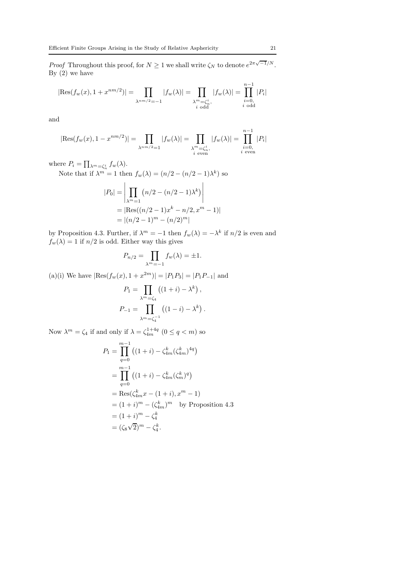*Proof* Throughout this proof, for  $N \geq 1$  we shall write  $\zeta_N$  to denote  $e^{2\pi\sqrt{-1}/N}$ . By  $(2)$  we have

$$
|\text{Res}(f_w(x), 1 + x^{nm/2})| = \prod_{\substack{\lambda^{nm/2} = -1}} |f_w(\lambda)| = \prod_{\substack{\lambda^m = \zeta_n^i, \\ i \text{ odd}}} |f_w(\lambda)| = \prod_{\substack{i=0, \\ i \text{ odd}}}^{n-1} |P_i|
$$

and

$$
|\text{Res}(f_w(x), 1 - x^{nm/2})| = \prod_{\lambda^{nm/2} = 1} |f_w(\lambda)| = \prod_{\substack{\lambda^m = \zeta_n^i, \\ i \text{ even}}} |f_w(\lambda)| = \prod_{\substack{i=0, \\ i \text{ even}}}^{n-1} |P_i|
$$

where  $P_i = \prod_{\lambda^m = \zeta_n^i} f_w(\lambda)$ .

Note that if  $\lambda^m = 1$  then  $f_w(\lambda) = (n/2 - (n/2 - 1)\lambda^k)$  so

$$
|P_0| = \left| \prod_{\lambda^m=1} (n/2 - (n/2 - 1)\lambda^k) \right|
$$
  
=  $|\text{Res}((n/2 - 1)x^k - n/2, x^m - 1)|$   
=  $|(n/2 - 1)^m - (n/2)^m|$ 

by Proposition 4.3. Further, if  $\lambda^m = -1$  then  $f_w(\lambda) = -\lambda^k$  if  $n/2$  is even and  $f_w(\lambda) = 1$  if  $n/2$  is odd. Either way this gives

$$
P_{n/2} = \prod_{\lambda^m = -1} f_w(\lambda) = \pm 1.
$$

(a)(i) We have  $|\text{Res}(f_w(x), 1 + x^{2m})| = |P_1P_3| = |P_1P_{-1}|$  and

$$
P_1 = \prod_{\lambda^m = \zeta_4} ((1 + i) - \lambda^k),
$$
  

$$
P_{-1} = \prod_{\lambda^m = \zeta_4^{-1}} ((1 - i) - \lambda^k).
$$

Now  $\lambda^m = \zeta_4$  if and only if  $\lambda = \zeta_{4m}^{1+4q}$   $(0 \le q < m)$  so

$$
P_1 = \prod_{q=0}^{m-1} ((1+i) - \zeta_{4m}^k (\zeta_{4m}^k)^{4q})
$$
  
= 
$$
\prod_{q=0}^{m-1} ((1+i) - \zeta_{4m}^k (\zeta_m^k)^q)
$$
  
= 
$$
\text{Res}(\zeta_{4m}^k x - (1+i), x^m - 1)
$$
  
= 
$$
(1+i)^m - (\zeta_{4m}^k)^m \text{ by Proposition 4.3}
$$
  
= 
$$
(1+i)^m - \zeta_4^k
$$
  
= 
$$
(\zeta_8 \sqrt{2})^m - \zeta_4^k.
$$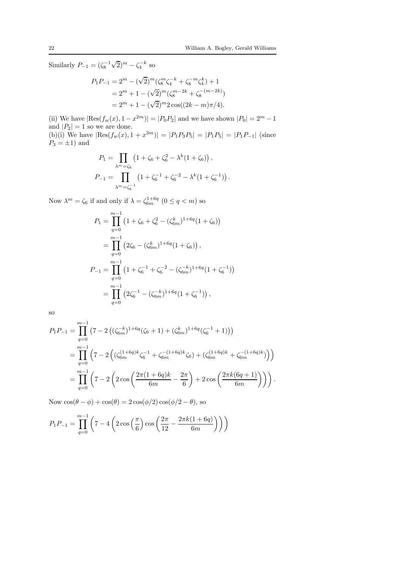Similarly  $P_{-1} = (\zeta_8^{-1} \sqrt{2})^m - \zeta_4^{-k}$  so

$$
P_1 P_{-1} = 2^m - (\sqrt{2})^m (\zeta_8^m \zeta_4^{-k} + \zeta_8^{-m} \zeta_4^k) + 1
$$
  
= 2<sup>m</sup> + 1 - (\sqrt{2})^m (\zeta\_8^{m-2k} + \zeta\_8^{-(m-2k)})  
= 2<sup>m</sup> + 1 - (\sqrt{2})^m 2 \cos((2k - m)\pi/4).

(ii) We have  $|\text{Res}(f_w(x), 1 - x^{2m})| = |P_0 P_2|$  and we have shown  $|P_0| = 2^m - 1$ and  $|P_2| = 1$  so we are done. (b)(i) We have  $|Res(f_w(x), 1 + x^{3m})| = |P_1P_3P_5| = |P_1P_5| = |P_1P_{-1}|$  (since  $P_3 = \pm 1$ ) and

$$
P_1 = \prod_{\lambda^m = \zeta_6} \left( 1 + \zeta_6 + \zeta_6^2 - \lambda^k (1 + \zeta_6) \right),
$$
  

$$
P_{-1} = \prod_{\lambda^m = \zeta_6^{-1}} \left( 1 + \zeta_6^{-1} + \zeta_6^{-2} - \lambda^k (1 + \zeta_6^{-1}) \right).
$$

Now  $\lambda^m = \zeta_6$  if and only if  $\lambda = \zeta_{6m}^{1+6q}$   $(0 \le q < m)$  so

$$
P_1 = \prod_{q=0}^{m-1} (1 + \zeta_6 + \zeta_6^2 - (\zeta_{6m}^k)^{1+6q} (1 + \zeta_6))
$$
  
= 
$$
\prod_{q=0}^{m-1} (2\zeta_6 - (\zeta_{6m}^k)^{1+6q} (1 + \zeta_6)),
$$
  

$$
P_{-1} = \prod_{q=0}^{m-1} (1 + \zeta_6^{-1} + \zeta_6^{-2} - (\zeta_{6m}^{-k})^{1+6q} (1 + \zeta_6^{-1}))
$$
  
= 
$$
\prod_{q=0}^{m-1} (2\zeta_6^{-1} - (\zeta_{6m}^{-k})^{1+6q} (1 + \zeta_6^{-1})),
$$

so

$$
P_1 P_{-1} = \prod_{q=0}^{m-1} (7 - 2 ((\zeta_{6m}^{-k})^{1+6q} (\zeta_6 + 1) + (\zeta_{6m}^k)^{1+6q} (\zeta_6^{-1} + 1)))
$$
  
= 
$$
\prod_{q=0}^{m-1} (7 - 2 ((\zeta_{6m}^{(1+6q)k} \zeta_6^{-1} + \zeta_{6m}^{-(1+6q)k} \zeta_6) + (\zeta_{6m}^{(1+6q)k} + \zeta_{6m}^{-(1+6q)k}))
$$
  
= 
$$
\prod_{q=0}^{m-1} (7 - 2 (2 \cos \left( \frac{2\pi (1+6q)k}{6m} - \frac{2\pi}{6} \right) + 2 \cos \left( \frac{2\pi k (6q+1)}{6m} \right))).
$$

Now  $\cos(\theta - \phi) + \cos(\theta) = 2\cos(\phi/2)\cos(\phi/2 - \theta)$ , so

$$
P_1 P_{-1} = \prod_{q=0}^{m-1} \left( 7 - 4 \left( 2 \cos \left( \frac{\pi}{6} \right) \cos \left( \frac{2\pi}{12} - \frac{2\pi k (1 + 6q)}{6m} \right) \right) \right)
$$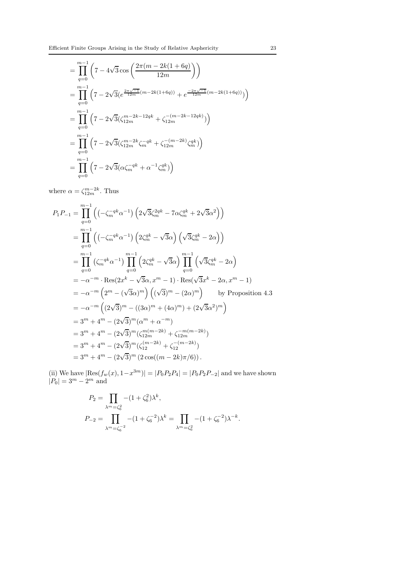$$
= \prod_{q=0}^{m-1} \left(7 - 4\sqrt{3}\cos\left(\frac{2\pi(m - 2k(1 + 6q)}{12m}\right)\right)
$$
  
\n
$$
= \prod_{q=0}^{m-1} \left(7 - 2\sqrt{3}(e^{\frac{2\pi\sqrt{-1}}{12m}(m - 2k(1 + 6q))} + e^{\frac{-2\pi\sqrt{-1}}{12m}(m - 2k(1 + 6q))})\right)
$$
  
\n
$$
= \prod_{q=0}^{m-1} \left(7 - 2\sqrt{3}(\zeta_{12m}^{m - 2k - 12qk} + \zeta_{12m}^{-(m - 2k - 12qk)})\right)
$$
  
\n
$$
= \prod_{q=0}^{m-1} \left(7 - 2\sqrt{3}(\zeta_{12m}^{m - 2k} \zeta_m^{-qk} + \zeta_{12m}^{-(m - 2k)} \zeta_m^{qk})\right)
$$
  
\n
$$
= \prod_{q=0}^{m-1} \left(7 - 2\sqrt{3}(\alpha \zeta_m^{-qk} + \alpha^{-1} \zeta_m^{qk})\right)
$$

where  $\alpha = \zeta_{12m}^{m-2k}$ . Thus

$$
P_{1}P_{-1} = \prod_{q=0}^{m-1} ((-\zeta_{m}^{-qk}\alpha^{-1}) (2\sqrt{3}\zeta_{m}^{2qk} - 7\alpha\zeta_{m}^{qk} + 2\sqrt{3}\alpha^{2}))
$$
  
\n
$$
= \prod_{q=0}^{m-1} ((-\zeta_{m}^{-qk}\alpha^{-1}) (2\zeta_{m}^{qk} - \sqrt{3}\alpha) (\sqrt{3}\zeta_{m}^{qk} - 2\alpha))
$$
  
\n
$$
= \prod_{q=0}^{m-1} (\zeta_{m}^{-qk}\alpha^{-1}) \prod_{q=0}^{m-1} (2\zeta_{m}^{qk} - \sqrt{3}\alpha) \prod_{q=0}^{m-1} (\sqrt{3}\zeta_{m}^{qk} - 2\alpha)
$$
  
\n
$$
= -\alpha^{-m} \cdot \text{Res}(2x^{k} - \sqrt{3}\alpha, x^{m} - 1) \cdot \text{Res}(\sqrt{3}x^{k} - 2\alpha, x^{m} - 1)
$$
  
\n
$$
= -\alpha^{-m} (2^{m} - (\sqrt{3}\alpha)^{m}) ((\sqrt{3})^{m} - (2\alpha)^{m}) \text{ by Proposition 4.3}
$$
  
\n
$$
= -\alpha^{-m} ((2\sqrt{3})^{m} - ((3\alpha)^{m} + (4\alpha)^{m}) + (2\sqrt{3}\alpha^{2})^{m})
$$
  
\n
$$
= 3^{m} + 4^{m} - (2\sqrt{3})^{m} (\alpha^{m} + \alpha^{-m})
$$
  
\n
$$
= 3^{m} + 4^{m} - (2\sqrt{3})^{m} (\zeta_{12m}^{(m-2k)} + \zeta_{12m}^{-(m-2k)})
$$
  
\n
$$
= 3^{m} + 4^{m} - (2\sqrt{3})^{m} (2\cos((m-2k)\pi/6)).
$$

(ii) We have  $|\text{Res}(f_w(x), 1-x^{3m})| = |P_0P_2P_4| = |P_0P_2P_{-2}|$  and we have shown  $|P_0| = 3^m - 2^m$  and

$$
P_2 = \prod_{\lambda^m = \zeta_6^2} -(1 + \zeta_6^2) \lambda^k,
$$
  
\n
$$
P_{-2} = \prod_{\lambda^m = \zeta_6^{-2}} -(1 + \zeta_6^{-2}) \lambda^k = \prod_{\lambda^m = \zeta_6^2} -(1 + \zeta_6^{-2}) \lambda^{-k}.
$$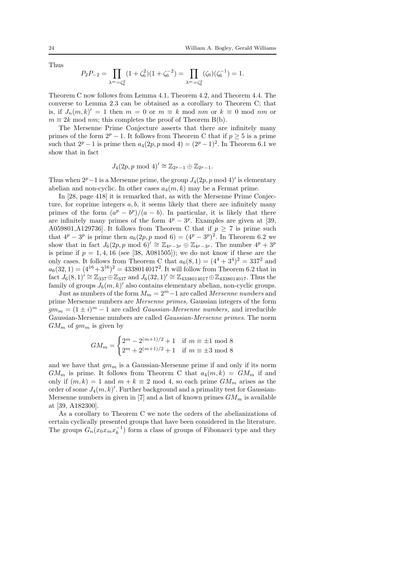Thus

$$
P_2 P_{-2} = \prod_{\lambda^m = \zeta_6^2} (1 + \zeta_6^2)(1 + \zeta_6^{-2}) = \prod_{\lambda^m = \zeta_6^2} (\zeta_6)(\zeta_6^{-1}) = 1.
$$

Theorem C now follows from Lemma 4.1, Theorem 4.2, and Theorem 4.4. The converse to Lemma 2.3 can be obtained as a corollary to Theorem C; that is, if  $J_n(m, k)' = 1$  then  $m = 0$  or  $m \equiv k \mod nm$  or  $k \equiv 0 \mod nm$  or  $m \equiv 2k \mod nm$ ; this completes the proof of Theorem B(b).

The Mersenne Prime Conjecture asserts that there are infinitely many primes of the form  $2^p - 1$ . It follows from Theorem C that if  $p \geq 5$  is a prime such that  $2^p - 1$  is prime then  $a_4(2p, p \mod 4) = (2^p - 1)^2$ . In Theorem 6.1 we show that in fact

$$
J_4(2p, p \bmod 4)' \cong \mathbb{Z}_{2^p-1} \oplus \mathbb{Z}_{2^p-1}.
$$

Thus when  $2^p-1$  is a Mersenne prime, the group  $J_4(2p, p \mod 4)$ ' is elementary abelian and non-cyclic. In other cases  $a_4(m, k)$  may be a Fermat prime.

In [28, page 418] it is remarked that, as with the Mersenne Prime Conjecture, for coprime integers  $a, b$ , it seems likely that there are infinitely many primes of the form  $(a^p - b^p)/(a - b)$ . In particular, it is likely that there are infinitely many primes of the form  $4^p - 3^p$ . Examples are given at [39, A059801,A129736. It follows from Theorem C that if  $p \geq 7$  is prime such that  $4^p - 3^p$  is prime then  $a_6(2p, p \mod 6) = (4^p - 3^p)^2$ . In Theorem 6.2 we show that in fact  $J_6(2p, p \mod 6)' \cong \mathbb{Z}_{4p-3p} \oplus \mathbb{Z}_{4p-3p}$ . The number  $4^p + 3^p$ is prime if  $p = 1, 4, 16$  (see [38, A081505]); we do not know if these are the only cases. It follows from Theorem C that  $a_6(8, 1) = (4^4 + 3^4)^2 = 337^2$  and  $a_6(32, 1) = (4^{16} + 3^{16})^2 = 4338014017^2$ . It will follow from Theorem 6.2 that in fact  $J_6(8,1)' \cong \mathbb{Z}_{337} \oplus \mathbb{Z}_{337}$  and  $J_6(32,1)' \cong \mathbb{Z}_{4338014017} \oplus \mathbb{Z}_{4338014017}$ . Thus the family of groups  $J_6(m, k)$  also contains elementary abelian, non-cyclic groups.

Just as numbers of the form  $M_m = 2^m - 1$  are called Mersenne numbers and prime Mersenne numbers are Mersenne primes, Gaussian integers of the form  $gm_m = (1 \pm i)^m - 1$  are called *Gaussian-Mersenne numbers*, and irreducible Gaussian-Mersenne numbers are called Gaussian-Mersenne primes. The norm  $GM_m$  of  $gm_m$  is given by

$$
GM_m = \begin{cases} 2^m - 2^{(m+1)/2} + 1 & \text{if } m \equiv \pm 1 \mod 8 \\ 2^m + 2^{(m+1)/2} + 1 & \text{if } m \equiv \pm 3 \mod 8 \end{cases}
$$

and we have that  $gm_m$  is a Gaussian-Mersenne prime if and only if its norm  $GM_m$  is prime. It follows from Theorem C that  $a_4(m, k) = GM_m$  if and only if  $(m, k) = 1$  and  $m + k \equiv 2 \mod 4$ , so each prime  $GM_m$  arises as the order of some  $J_4(m, k)$ '. Further background and a primality test for Gaussian-Mersenne numbers in given in [7] and a list of known primes  $GM_m$  is available at [39, A182300].

As a corollary to Theorem C we note the orders of the abelianizations of certain cyclically presented groups that have been considered in the literature. The groups  $G_n(x_0x_mx_k^{-1})$  form a class of groups of Fibonacci type and they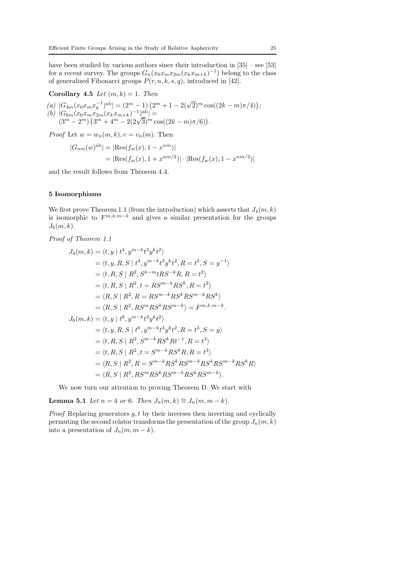have been studied by various authors since their introduction in  $[35]$  – see  $[53]$ for a recent survey. The groups  $G_n(x_0x_mx_{2m}(x_kx_{m+k})^{-1})$  belong to the class of generalized Fibonacci groups  $P(r, n, k, s, q)$ , introduced in [42].

Corollary 4.5 Let  $(m, k) = 1$ . Then

(a) 
$$
|G_{4m}(x_0x_mx_k^{-1})^{ab}| = (2^m - 1)(2^m + 1 - 2(\sqrt{2})^m \cos((2k - m)\pi/4));
$$
  
\n(b)  $|G_{6m}(x_0x_mx_{2m}(x_kx_{m+k})^{-1})^{ab}| =$   
\n $(3^m - 2^m)(3^m + 4^m - 2(2\sqrt{3})^m \cos((2k - m)\pi/6)).$ 

*Proof* Let  $w = w_n(m, k), v = v_n(m)$ . Then

$$
|G_{nm}(w)^{ab}| = |\text{Res}(f_w(x), 1 - x^{nm})|
$$
  
=  $|\text{Res}(f_w(x), 1 + x^{nm/2})| \cdot |\text{Res}(f_w(x), 1 - x^{nm/2})|$ 

and the result follows from Theorem 4.4.

#### 5 Isomorphisms

We first prove Theorem 1.1 (from the introduction) which asserts that  $J_4(m, k)$ is isomorphic to  $F^{m,k,m-k}$  and gives a similar presentation for the groups  $J_6(m, k)$ .

Proof of Theorem 1.1

$$
J_4(m, k) = \langle t, y | t^4, y^{m-k} t^3 y^k t^2 \rangle
$$
  
\n
$$
= \langle t, y, R, S | t^4, y^{m-k} t^3 y^k t^2, R = t^2, S = y^{-1} \rangle
$$
  
\n
$$
= \langle t, R, S | R^2, S^{k-m} t R S^{-k} R, R = t^2 \rangle
$$
  
\n
$$
= \langle t, R, S | R^2, t = R S^{m-k} R S^k, R = t^2 \rangle
$$
  
\n
$$
= \langle R, S | R^2, R = R S^{m-k} R S^k R S^{m-k} R S^k \rangle
$$
  
\n
$$
= \langle R, S | R^2, R S^m R S^k R S^{m-k} \rangle = F^{m, k, m-k}.
$$
  
\n
$$
J_6(m, k) = \langle t, y | t^6, y^{m-k} t^3 y^k t^2 \rangle
$$
  
\n
$$
= \langle t, y, R, S | t^6, y^{m-k} t^3 y^k t^2, R = t^3, S = y \rangle
$$
  
\n
$$
= \langle t, R, S | R^2, S^{m-k} R S^k R t^{-1}, R = t^3 \rangle
$$
  
\n
$$
= \langle R, S | R^2, R = S^{m-k} R S^k R, R = t^3 \rangle
$$
  
\n
$$
= \langle R, S | R^2, R = S^{m-k} R S^k R S^{m-k} R S^k R S^{m-k} R S^k R \rangle
$$
  
\n
$$
= \langle R, S | R^2, R S^m R S^k R S^{m-k} R S^k R S^{m-k} \rangle.
$$

We now turn our attention to proving Theorem D. We start with

Lemma 5.1 Let  $n = 4$  or 6. Then  $J_n(m, k) \cong J_n(m, m - k)$ .

*Proof* Replacing generators  $y, t$  by their inverses then inverting and cyclically permuting the second relator transforms the presentation of the group  $J_n(m, k)$ into a presentation of  $J_n(m, m - k)$ .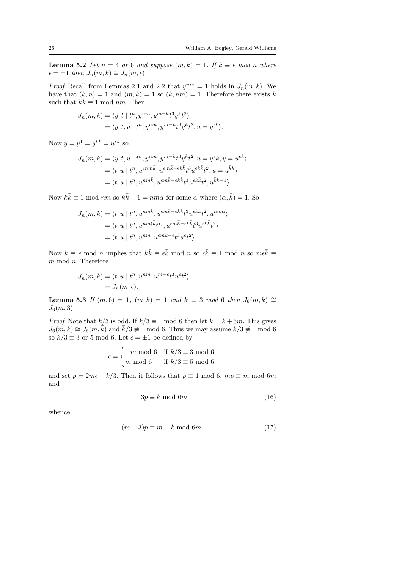**Lemma 5.2** Let  $n = 4$  or 6 and suppose  $(m, k) = 1$ . If  $k \equiv \epsilon \mod n$  where  $\epsilon = \pm 1$  then  $J_n(m, k) \cong J_n(m, \epsilon)$ .

*Proof* Recall from Lemmas 2.1 and 2.2 that  $y^{nm} = 1$  holds in  $J_n(m, k)$ . We have that  $(k, n) = 1$  and  $(m, k) = 1$  so  $(k, nm) = 1$ . Therefore there exists  $\overline{k}$ such that  $k\bar{k} \equiv 1 \mod nm$ . Then

$$
J_n(m,k) = \langle y, t \mid t^n, y^{nm}, y^{m-k}t^3y^kt^2 \rangle
$$
  
=  $\langle y, t, u \mid t^n, y^{nm}, y^{m-k}t^3y^kt^2, u = y^{\epsilon k} \rangle.$ 

Now  $y = y^1 = y^{k\bar{k}} = u^{\epsilon \bar{k}}$  so

$$
J_n(m, k) = \langle y, t, u \mid t^n, y^{nm}, y^{m-k}t^3y^kt^2, u = y^{\epsilon}k, y = u^{\epsilon \bar{k}} \rangle
$$
  
=  $\langle t, u \mid t^n, u^{\epsilon n m \bar{k}}, u^{\epsilon m \bar{k} - \epsilon k \bar{k}}t^3u^{\epsilon k \bar{k}}t^2, u = u^{\bar{k}k} \rangle$   
=  $\langle t, u \mid t^n, u^{nm \bar{k}}, u^{\epsilon m \bar{k} - \epsilon k \bar{k}}t^3u^{\epsilon k \bar{k}}t^2, u^{\bar{k}k-1} \rangle.$ 

Now  $k\bar{k} \equiv 1 \text{ mod } nm$  so  $k\bar{k} - 1 = nm\alpha$  for some  $\alpha$  where  $(\alpha, \bar{k}) = 1$ . So

$$
J_n(m,k) = \langle t, u \mid t^n, u^{nm\bar{k}}, u^{\epsilon m \bar{k} - \epsilon k \bar{k}} t^3 u^{\epsilon k \bar{k}} t^2, u^{nm\alpha} \rangle
$$
  
=  $\langle t, u \mid t^n, u^{nm(\bar{k}, \alpha)}, u^{\epsilon m \bar{k} - \epsilon k \bar{k}} t^3 u^{\epsilon k \bar{k}} t^2 \rangle$   
=  $\langle t, u \mid t^n, u^{nm}, u^{\epsilon m \bar{k} - \epsilon} t^3 u^{\epsilon} t^2 \rangle.$ 

Now  $k \equiv \epsilon \mod n$  implies that  $k\overline{k} \equiv \epsilon \overline{k} \mod n$  so  $\epsilon \overline{k} \equiv 1 \mod n$  so  $m\epsilon \overline{k} \equiv$  $m \mod n$ . Therefore

$$
J_n(m,k) = \langle t, u \mid t^n, u^{nm}, u^{m-\epsilon}t^3u^{\epsilon}t^2 \rangle
$$
  
=  $J_n(m, \epsilon).$ 

**Lemma 5.3** If  $(m, 6) = 1$ ,  $(m, k) = 1$  and  $k ≡ 3 \mod 6$  then  $J_6(m, k) ≅$  $J_6(m, 3)$ .

*Proof* Note that  $k/3$  is odd. If  $k/3 \equiv 1 \mod 6$  then let  $\bar{k} = k + 6m$ . This gives  $J_6(m, k) \cong J_6(m, \overline{k})$  and  $\overline{k}/3 \not\equiv 1 \mod 6$ . Thus we may assume  $k/3 \not\equiv 1 \mod 6$ so  $k/3 \equiv 3$  or 5 mod 6. Let  $\epsilon = \pm 1$  be defined by

$$
\epsilon = \begin{cases} -m \bmod 6 & \text{if } k/3 \equiv 3 \bmod 6, \\ m \bmod 6 & \text{if } k/3 \equiv 5 \bmod 6, \end{cases}
$$

and set  $p = 2m\epsilon + k/3$ . Then it follows that  $p \equiv 1 \mod 6$ ,  $mp \equiv m \mod 6m$ and

$$
3p \equiv k \mod 6m \tag{16}
$$

whence

$$
(m-3)p \equiv m - k \mod 6m. \tag{17}
$$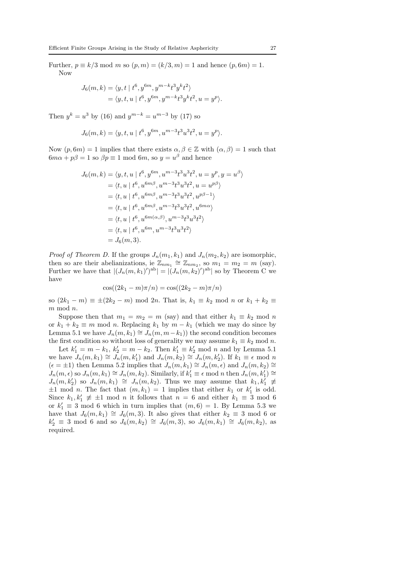Further,  $p \equiv k/3 \mod m$  so  $(p, m) = (k/3, m) = 1$  and hence  $(p, 6m) = 1$ . Now

$$
J_6(m, k) = \langle y, t | t^6, y^{6m}, y^{m-k} t^3 y^k t^2 \rangle
$$
  
=  $\langle y, t, u | t^6, y^{6m}, y^{m-k} t^3 y^k t^2, u = y^p \rangle.$ 

Then  $y^k = u^3$  by (16) and  $y^{m-k} = u^{m-3}$  by (17) so

$$
J_6(m,k) = \langle y, t, u \mid t^6, y^{6m}, u^{m-3}t^3u^3t^2, u = y^p \rangle.
$$

Now  $(p, 6m) = 1$  implies that there exists  $\alpha, \beta \in \mathbb{Z}$  with  $(\alpha, \beta) = 1$  such that  $6m\alpha + p\beta = 1$  so  $\beta p \equiv 1$  mod  $6m$ , so  $y = u^{\beta}$  and hence

$$
J_6(m, k) = \langle y, t, u | t^6, y^{6m}, u^{m-3}t^3u^3t^2, u = y^p, y = u^{\beta} \rangle
$$
  
=  $\langle t, u | t^6, u^{6m\beta}, u^{m-3}t^3u^3t^2, u = u^{p\beta} \rangle$   
=  $\langle t, u | t^6, u^{6m\beta}, u^{m-3}t^3u^3t^2, u^{p\beta-1} \rangle$   
=  $\langle t, u | t^6, u^{6m\beta}, u^{m-3}t^3u^3t^2, u^{6m\alpha} \rangle$   
=  $\langle t, u | t^6, u^{6m(\alpha, \beta)}, u^{m-3}t^3u^3t^2 \rangle$   
=  $\langle t, u | t^6, u^{6m}, u^{m-3}t^3u^3t^2 \rangle$   
=  $J_6(m, 3).$ 

*Proof of Theorem D.* If the groups  $J_n(m_1, k_1)$  and  $J_n(m_2, k_2)$  are isomorphic, then so are their abelianizations, ie  $\mathbb{Z}_{nm_1} \cong \mathbb{Z}_{nm_2}$ , so  $m_1 = m_2 = m$  (say). Further we have that  $|(J_n(m, k_1)')^{ab}| = |(J_n(m, k_2)')^{ab}|$  so by Theorem C we have

$$
\cos((2k_1 - m)\pi/n) = \cos((2k_2 - m)\pi/n)
$$

so  $(2k_1 - m) \equiv \pm (2k_2 - m) \mod 2n$ . That is,  $k_1 \equiv k_2 \mod n$  or  $k_1 + k_2 \equiv$  $m \mod n$ .

Suppose then that  $m_1 = m_2 = m$  (say) and that either  $k_1 \equiv k_2 \mod n$ or  $k_1 + k_2 \equiv m \mod n$ . Replacing  $k_1$  by  $m - k_1$  (which we may do since by Lemma 5.1 we have  $J_n(m, k_1) \cong J_n(m, m-k_1)$  the second condition becomes the first condition so without loss of generality we may assume  $k_1 \equiv k_2 \mod n$ .

Let  $k'_1 = m - k_1$ ,  $k'_2 = m - k_2$ . Then  $k'_1 \equiv k'_2 \mod n$  and by Lemma 5.1 we have  $J_n(m, k_1) \cong J_n(m, k'_1)$  and  $J_n(m, k_2) \cong J_n(m, k'_2)$ . If  $k_1 \equiv \epsilon \mod n$  $(\epsilon = \pm 1)$  then Lemma 5.2 implies that  $J_n(m, k_1) \cong J_n(m, \epsilon)$  and  $J_n(m, k_2) \cong$  $J_n(m, \epsilon)$  so  $J_n(m, k_1) \cong J_n(m, k_2)$ . Similarly, if  $k'_1 \equiv \epsilon \mod n$  then  $J_n(m, k'_1) \cong$  $J_n(m, k'_2)$  so  $J_n(m, k_1) \cong J_n(m, k_2)$ . Thus we may assume that  $k_1, k'_1 \neq$  $\pm 1 \mod n$ . The fact that  $(m, k_1) = 1$  implies that either  $k_1$  or  $k'_1$  is odd. Since  $k_1, k'_1 \neq \pm 1 \mod n$  it follows that  $n = 6$  and either  $k_1 \equiv 3 \mod 6$ or  $k'_1 \equiv 3 \mod 6$  which in turn implies that  $(m, 6) = 1$ . By Lemma 5.3 we have that  $J_6(m, k_1) \cong J_6(m, 3)$ . It also gives that either  $k_2 \equiv 3 \mod 6$  or  $k'_2 \equiv 3 \mod 6$  and so  $J_6(m, k_2) \cong J_6(m, 3)$ , so  $J_6(m, k_1) \cong J_6(m, k_2)$ , as required.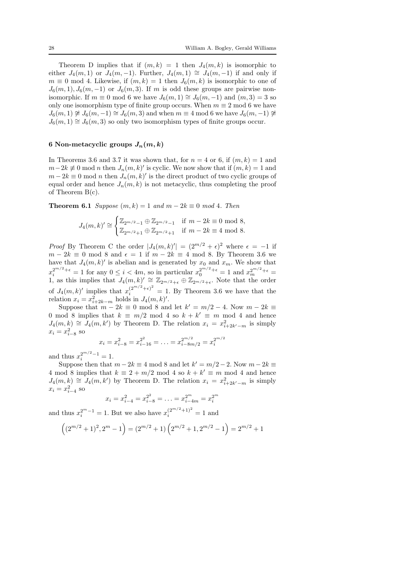Theorem D implies that if  $(m, k) = 1$  then  $J_4(m, k)$  is isomorphic to either  $J_4(m,1)$  or  $J_4(m,-1)$ . Further,  $J_4(m,1) \cong J_4(m,-1)$  if and only if  $m \equiv 0 \mod 4$ . Likewise, if  $(m, k) = 1$  then  $J_6(m, k)$  is isomorphic to one of  $J_6(m, 1), J_6(m, -1)$  or  $J_6(m, 3)$ . If m is odd these groups are pairwise nonisomorphic. If  $m \equiv 0 \mod 6$  we have  $J_6(m, 1) \cong J_6(m, -1)$  and  $(m, 3) = 3$  so only one isomorphism type of finite group occurs. When  $m \equiv 2 \mod 6$  we have  $J_6(m, 1) \not\cong J_6(m, -1) \cong J_6(m, 3)$  and when  $m \equiv 4 \mod 6$  we have  $J_6(m, -1) \not\cong$  $J_6(m, 1) \cong J_6(m, 3)$  so only two isomorphism types of finite groups occur.

## 6 Non-metacyclic groups  $J_n(m, k)$

In Theorems 3.6 and 3.7 it was shown that, for  $n = 4$  or 6, if  $(m, k) = 1$  and  $m-2k \neq 0 \text{ mod } n$  then  $J_n(m, k)'$  is cyclic. We now show that if  $(m, k) = 1$  and  $m-2k \equiv 0 \mod n$  then  $J_n(m, k)'$  is the direct product of two cyclic groups of equal order and hence  $J_n(m, k)$  is not metacyclic, thus completing the proof of Theorem B(c).

**Theorem 6.1** Suppose  $(m, k) = 1$  and  $m - 2k \equiv 0 \mod 4$ . Then

$$
J_4(m,k)' \cong \begin{cases} \mathbb{Z}_{2^{m/2}-1} \oplus \mathbb{Z}_{2^{m/2}-1} & \text{if } m-2k \equiv 0 \mod 8, \\ \mathbb{Z}_{2^{m/2}+1} \oplus \mathbb{Z}_{2^{m/2}+1} & \text{if } m-2k \equiv 4 \mod 8. \end{cases}
$$

*Proof* By Theorem C the order  $|J_4(m,k)'| = (2^{m/2} + \epsilon)^2$  where  $\epsilon = -1$  if  $m-2k \equiv 0 \mod 8$  and  $\epsilon = 1$  if  $m-2k \equiv 4 \mod 8$ . By Theorem 3.6 we have that  $J_4(m, k)'$  is abelian and is generated by  $x_0$  and  $x_m$ . We show that  $x_i^{2^{m/2}+\epsilon} = 1$  for any  $0 \le i < 4m$ , so in particular  $x_0^{2^{m/2}+\epsilon} = 1$  and  $x_m^{2^{m/2}+\epsilon} =$ 1, as this implies that  $J_4(m, k)' \cong \mathbb{Z}_{2^{m/2}+\epsilon} \oplus \mathbb{Z}_{2^{m/2}+\epsilon}$ . Note that the order of  $J_4(m, k)'$  implies that  $x_i^{(2^{m/2} + \epsilon)^2} = 1$ . By Theorem 3.6 we have that the relation  $x_i = x_{i+2k-m}^2$  holds in  $J_4(m, k)'.$ 

Suppose that  $m - 2k \equiv 0 \mod 8$  and let  $k' = m/2 - 4$ . Now  $m - 2k \equiv$ 0 mod 8 implies that  $k \equiv m/2 \mod 4$  so  $k + k' \equiv m \mod 4$  and hence  $J_4(m, k) \cong J_4(m, k')$  by Theorem D. The relation  $x_i = x_{i+2k'-m}^2$  is simply  $x_i = x_{i-8}^2$  so

$$
x_i = x_{i-8}^2 = x_{i-16}^{2^2} = \ldots = x_{i-8m/2}^{2^{m/2}} = x_i^{2^{m/2}}
$$

and thus  $x_i^{2^{m/2}-1} = 1$ .

Suppose then that  $m - 2k \equiv 4 \mod 8$  and let  $k' = m/2 - 2$ . Now  $m - 2k \equiv$ 4 mod 8 implies that  $k \equiv 2 + m/2 \mod 4$  so  $k + k' \equiv m \mod 4$  and hence  $J_4(m, k) \cong J_4(m, k')$  by Theorem D. The relation  $x_i = x_{i+2k'-m}^2$  is simply  $x_i = x_{i-4}^2$  so  $\overline{m}$ 

$$
x_i = x_{i-4}^2 = x_{i-8}^{2^2} = \ldots = x_{i-4m}^{2^m} = x_i^{2^m}
$$

and thus  $x_i^{2^m-1} = 1$ . But we also have  $x_i^{(2^{m/2}+1)^2} = 1$  and

$$
((2^{m/2}+1)^2, 2^m-1) = (2^{m/2}+1)\left(2^{m/2}+1, 2^{m/2}-1\right) = 2^{m/2}+1
$$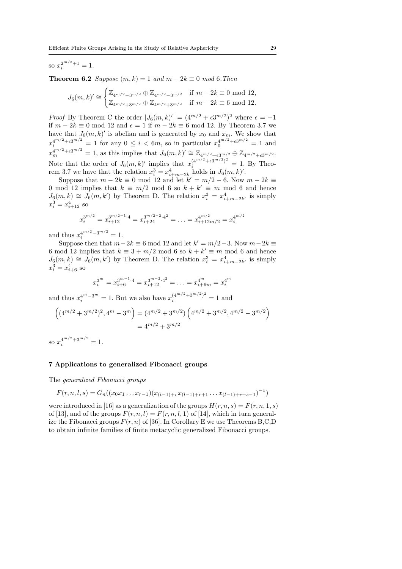# so  $x_i^{2^{m/2}+1} = 1$ .

**Theorem 6.2** Suppose  $(m, k) = 1$  and  $m - 2k \equiv 0 \mod 6$ . Then

$$
J_6(m,k)' \cong \begin{cases} \mathbb{Z}_{4^{m/2}-3^{m/2}} \oplus \mathbb{Z}_{4^{m/2}-3^{m/2}} & \text{if } m-2k \equiv 0 \mod 12, \\ \mathbb{Z}_{4^{m/2}+3^{m/2}} \oplus \mathbb{Z}_{4^{m/2}+3^{m/2}} & \text{if } m-2k \equiv 6 \mod 12. \end{cases}
$$

*Proof* By Theorem C the order  $|J_6(m, k)| = (4^{m/2} + \epsilon 3^{m/2})^2$  where  $\epsilon = -1$ if  $m - 2k \equiv 0 \mod 12$  and  $\epsilon = 1$  if  $m - 2k \equiv 6 \mod 12$ . By Theorem 3.7 we have that  $J_6(m, k)'$  is abelian and is generated by  $x_0$  and  $x_m$ . We show that  $x_1^{4^{m/2}+\epsilon 3^{m/2}} = 1$  for any  $0 \le i < 6m$ , so in particular  $x_0^{4^{m/2}+\epsilon 3^{m/2}} = 1$  and  $x_m^{4^{m/2}+\epsilon 3^{m/2}} = 1$ , as this implies that  $J_6(m, k)' \cong \mathbb{Z}_{4^{m/2}+\epsilon 3^{m/2}} \oplus \mathbb{Z}_{4^{m/2}+\epsilon 3^{m/2}}$ . Note that the order of  $J_6(m, k)'$  implies that  $x_i^{(4^{m/2} + \epsilon 3^{m/2})^2} = 1$ . By Theorem 3.7 we have that the relation  $x_i^3 = x_{i+m-2k}^4$  holds in  $J_6(m, k)'.$ 

Suppose that  $m - 2k \equiv 0 \mod 12$  and let  $k' = m/2 - 6$ . Now  $m - 2k \equiv$ 0 mod 12 implies that  $k \equiv m/2 \mod 6$  so  $k + k' \equiv m \mod 6$  and hence  $J_6(m, k) \cong J_6(m, k')$  by Theorem D. The relation  $x_i^3 = x_{i+m-2k'}^4$  is simply  $x_i^3 = x_{i+12}^4$  so

$$
x_i^{3^{m/2}} = x_{i+12}^{3^{m/2-1}\cdot 4} = x_{i+24}^{3^{m/2-2}\cdot 4^2} = \ldots = x_{i+12m/2}^{4^{m/2}} = x_i^{4^{m/2}}
$$

and thus  $x_i^{4^{m/2}-3^{m/2}}=1$ .

Suppose then that  $m-2k \equiv 6 \mod 12$  and let  $k' = m/2-3$ . Now  $m-2k \equiv$ 6 mod 12 implies that  $k \equiv 3 + m/2 \mod 6$  so  $k + k' \equiv m \mod 6$  and hence  $J_6(m, k) \cong J_6(m, k')$  by Theorem D. The relation  $x_i^3 = x_{i+m-2k'}^4$  is simply  $x_i^3 = x_{i+6}^4$  so

$$
x_i^{3^m} = x_{i+6}^{3^{m-1}\cdot 4} = x_{i+12}^{3^{m-2}\cdot 4^2} = \ldots = x_{i+6m}^{4^m} = x_i^{4^m}
$$

and thus  $x_i^{4^m-3^m} = 1$ . But we also have  $x_i^{(4^{m/2}+3^{m/2})^2} = 1$  and

$$
\left( (4^{m/2} + 3^{m/2})^2, 4^m - 3^m \right) = (4^{m/2} + 3^{m/2}) \left( 4^{m/2} + 3^{m/2}, 4^{m/2} - 3^{m/2} \right)
$$

$$
= 4^{m/2} + 3^{m/2}
$$

so  $x_i^{4^{m/2}+3^{m/2}}=1$ .

### 7 Applications to generalized Fibonacci groups

The generalized Fibonacci groups

$$
F(r, n, l, s) = G_n((x_0x_1 \ldots x_{r-1})(x_{(l-1)+r}x_{(l-1)+r+1} \ldots x_{(l-1)+r+s-1})^{-1})
$$

were introduced in [16] as a generalization of the groups  $H(r, n, s) = F(r, n, 1, s)$ of [13], and of the groups  $F(r, n, l) = F(r, n, l, 1)$  of [14], which in turn generalize the Fibonacci groups  $F(r, n)$  of [36]. In Corollary E we use Theorems B,C,D to obtain infinite families of finite metacyclic generalized Fibonacci groups.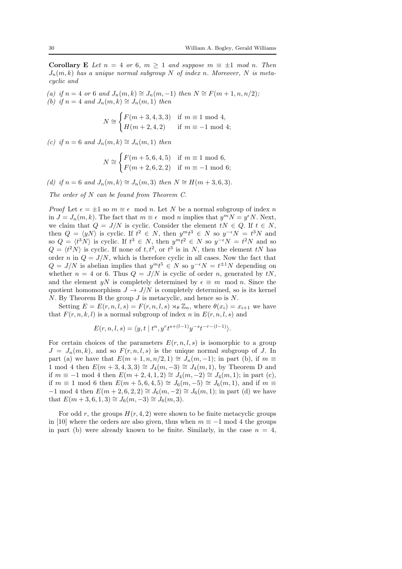**Corollary E** Let  $n = 4$  or 6,  $m \ge 1$  and suppose  $m \equiv \pm 1$  mod n. Then  $J_n(m, k)$  has a unique normal subgroup N of index n. Moreover, N is metacyclic and

(a) if  $n = 4$  or 6 and  $J_n(m, k) \cong J_n(m, -1)$  then  $N \cong F(m + 1, n, n/2);$ (b) if  $n = 4$  and  $J_n(m, k) \cong J_n(m, 1)$  then

$$
N \cong \begin{cases} F(m+3, 4, 3, 3) & \text{if } m \equiv 1 \text{ mod } 4, \\ H(m+2, 4, 2) & \text{if } m \equiv -1 \text{ mod } 4; \end{cases}
$$

(c) if  $n = 6$  and  $J_n(m, k) \cong J_n(m, 1)$  then

$$
N \cong \begin{cases} F(m+5, 6, 4, 5) & \text{if } m \equiv 1 \bmod 6, \\ F(m+2, 6, 2, 2) & \text{if } m \equiv -1 \bmod 6; \end{cases}
$$

(d) if  $n = 6$  and  $J_n(m, k) \cong J_n(m, 3)$  then  $N \cong H(m + 3, 6, 3)$ .

The order of N can be found from Theorem C.

*Proof* Let  $\epsilon = \pm 1$  so  $m \equiv \epsilon \mod n$ . Let N be a normal subgroup of index n in  $J = J_n(m, k)$ . The fact that  $m \equiv \epsilon \mod n$  implies that  $y^m N = y^{\epsilon} N$ . Next, we claim that  $Q = J/N$  is cyclic. Consider the element  $tN \in Q$ . If  $t \in N$ , then  $Q = \langle yN \rangle$  is cyclic. If  $t^2 \in N$ , then  $y^m t^3 \in N$  so  $y^{-\epsilon} N = t^3 N$  and so  $Q = \langle t^3 N \rangle$  is cyclic. If  $t^3 \in N$ , then  $y^m t^2 \in N$  so  $y^{-\epsilon} N = t^2 N$  and so  $Q = \langle t^2 N \rangle$  is cyclic. If none of  $t, t^2$ , or  $t^3$  is in N, then the element tN has order n in  $Q = J/N$ , which is therefore cyclic in all cases. Now the fact that  $Q = J/N$  is abelian implies that  $y^m t^5 \in N$  so  $y^{-\epsilon} N = t^{\pm 1} N$  depending on whether  $n = 4$  or 6. Thus  $Q = J/N$  is cyclic of order n, generated by tN, and the element yN is completely determined by  $\epsilon \equiv m \mod n$ . Since the quotient homomorphism  $J \to J/N$  is completely determined, so is its kernel  $N$ . By Theorem B the group  $J$  is metacyclic, and hence so is  $N$ .

Setting  $E = E(r, n, l, s) = F(r, n, l, s) \rtimes_{\theta} \mathbb{Z}_n$ , where  $\theta(x_i) = x_{i+1}$  we have that  $F(r, n, k, l)$  is a normal subgroup of index n in  $E(r, n, l, s)$  and

$$
E(r, n, l, s) = \langle y, t | t^n, y^r t^{s + (l-1)} y^{-s} t^{-r - (l-1)} \rangle.
$$

For certain choices of the parameters  $E(r, n, l, s)$  is isomorphic to a group  $J = J_n(m, k)$ , and so  $F(r, n, l, s)$  is the unique normal subgroup of J. In part (a) we have that  $E(m + 1, n, n/2, 1) \cong J_n(m, -1)$ ; in part (b), if  $m \equiv$ 1 mod 4 then  $E(m+3, 4, 3, 3) \cong J_4(m, -3) \cong J_4(m, 1)$ , by Theorem D and if  $m \equiv -1 \mod 4$  then  $E(m + 2, 4, 1, 2) \cong J_4(m, -2) \cong J_4(m, 1)$ ; in part (c), if  $m \equiv 1 \mod 6$  then  $E(m+5,6,4,5) \cong J_6(m,-5) \cong J_6(m,1)$ , and if  $m \equiv$  $-1 \mod 4$  then  $E(m + 2, 6, 2, 2) \cong J_6(m, -2) \cong J_6(m, 1)$ ; in part (d) we have that  $E(m+3,6,1,3) \cong J_6(m,-3) \cong J_6(m,3)$ .

For odd r, the groups  $H(r, 4, 2)$  were shown to be finite metacyclic groups in [10] where the orders are also given, thus when  $m \equiv -1 \mod 4$  the groups in part (b) were already known to be finite. Similarly, in the case  $n = 4$ ,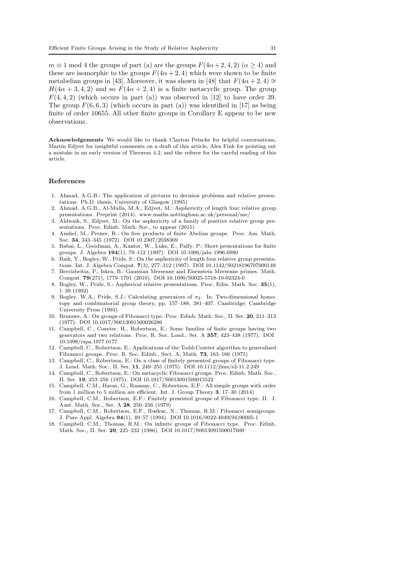$m \equiv 1 \mod 4$  the groups of part (a) are the groups  $F(4\alpha + 2, 4, 2)$  ( $\alpha \ge 4$ ) and these are isomorphic to the groups  $F(4\alpha + 2, 4)$  which were shown to be finite metabelian groups in [43]. Moreover, it was shown in [48] that  $F(4\alpha + 2, 4) \approx$  $H(4\alpha + 3, 4, 2)$  and so  $F(4\alpha + 2, 4)$  is a finite metacyclic group. The group  $F(4, 4, 2)$  (which occurs in part (a)) was observed in [12] to have order 39. The group  $F(6, 6, 3)$  (which occurs in part (a)) was identified in [17] as being finite of order 10655. All other finite groups in Corollary E appear to be new observations.

Acknowledgements We would like to thank Clayton Petsche for helpful conversations, Martin Edjvet for insightful comments on a draft of this article, Alex Fink for pointing out a mistake in an early version of Theorem 4.2, and the referee for the careful reading of this article.

#### References

- 1. Ahmad, A.G.B.: The application of pictures to decision problems and relative presentations. Ph.D. thesis, University of Glasgow (1995)
- 2. Ahmad, A.G.B., Al-Mulla, M.A., Edjvet, M.: Asphericity of length four relative group presentations. Preprint (2014). www.maths.nottingham.ac.uk/personal/me/
- 3. Aldwaik, S., Edjvet, M.: On the asphericity of a family of positive relative group presentations. Proc. Edinb. Math. Soc., to appear (2015)
- 4. Anshel, M., Prener, R.: On free products of finite Abelian groups. Proc. Am. Math. Soc. 34, 343–345 (1972). DOI 10.2307/2038369
- 5. Babai, L., Goodman, A., Kantor, W., Luks, E., Palfy, P.: Short presentations for finite groups. J. Algebra 194(1), 79–112 (1997). DOI 10.1006/jabr.1996.6980
- 6. Baik, Y., Bogley, W., Pride, S.: On the asphericity of length four relative group presentations. Int. J. Algebra Comput. 7(3), 277–312 (1997). DOI 10.1142/S0218196797000149
- 7. Berrizbeitia, P., Iskra, B.: Gaussian Mersenne and Eisenstein Mersenne primes. Math. Comput. 79(271), 1779–1791 (2010). DOI 10.1090/S0025-5718-10-02324-0
- 8. Bogley, W., Pride, S.: Aspherical relative presentations. Proc. Edin. Math. Soc. 35(1), 1–39 (1992)
- 9. Bogley, W.A., Pride, S.J.: Calculating generators of  $\pi_2$ . In: Two-dimensional homotopy and combinatorial group theory, pp. 157–188, 381–407. Cambridge: Cambridge University Press (1993)
- 10. Brunner, A.: On groups of Fibonacci type. Proc. Edinb. Math. Soc., II. Ser. 20, 211–213 (1977). DOI 10.1017/S0013091500026286
- 11. Campbell, C., Coxeter, H., Robertson, E.: Some families of finite groups having two generators and two relations. Proc. R. Soc. Lond., Ser. A 357, 423–438 (1977). DOI 10.1098/rspa.1977.0177
- 12. Campbell, C., Robertson, E.: Applications of the Todd-Coxeter algorithm to generalised Fibonacci groups. Proc. R. Soc. Edinb., Sect. A, Math. 73, 163–166 (1975)
- 13. Campbell, C., Robertson, E.: On a class of finitely presented groups of Fibonacci type. J. Lond. Math. Soc., II. Ser. 11, 249–255 (1975). DOI 10.1112/jlms/s2-11.2.249
- 14. Campbell, C., Robertson, E.: On metacyclic Fibonacci groups. Proc. Edinb. Math. Soc., II. Ser. 19, 253–256 (1975). DOI 10.1017/S0013091500015522
- 15. Campbell, C.M., Havas, G., Ramsay, C., Robertson, E.F.: All simple groups with order from 1 million to 5 million are efficient. Int. J. Group Theory 3, 17–30 (2014)
- 16. Campbell, C.M., Robertson, E.F.: Finitely presented groups of Fibonacci type. II. J. Aust. Math. Soc., Ser. A 28, 250–256 (1979)
- 17. Campbell, C.M., Robertson, E.F., Ruškuc, N., Thomas, R.M.: Fibonacci semigroups. J. Pure Appl. Algebra 94(1), 49–57 (1994). DOI 10.1016/0022-4049(94)90005-1
- 18. Campbell, C.M., Thomas, R.M.: On infinite groups of Fibonacci type. Proc. Edinb. Math. Soc., II. Ser. 29, 225–232 (1986). DOI 10.1017/S0013091500017600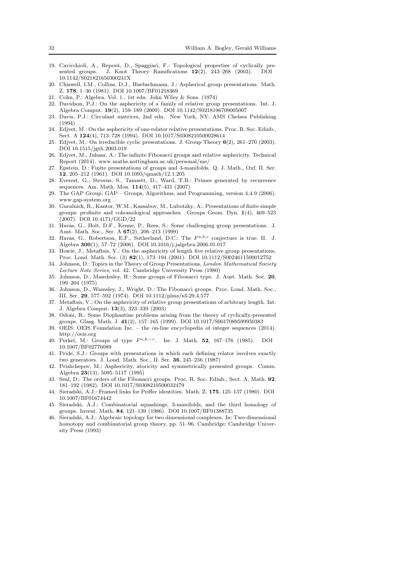- 19. Cavicchioli, A., Repovš, D., Spaggiari, F.: Topological properties of cyclically presented groups. J. Knot Theory Ramifications 12(2), 243–268 (2003). DOI 10.1142/S021821650300241X
- 20. Chiswell, I.M., Collins, D.J., Huebschmann, J.: Aspherical group presentations. Math. Z. 178, 1–36 (1981). DOI 10.1007/BF01218369
- 21. Cohn, P.: Algebra. Vol. 1., 1st edn. John Wiley & Sons. (1974)
- 22. Davidson, P.J.: On the asphericity of a family of relative group presentations. Int. J. Algebra Comput. 19(2), 159–189 (2009). DOI 10.1142/S0218196709005007
- 23. Davis, P.J.: Circulant matrices, 2nd edn. New York, NY: AMS Chelsea Publishing (1994)
- 24. Edjvet, M.: On the asphericity of one-relator relative presentations. Proc. R. Soc. Edinb., Sect. A 124(4), 713–728 (1994). DOI 10.1017/S0308210500028614
- 25. Edjvet, M.: On irreducible cyclic presentations. J. Group Theory 6(2), 261–270 (2003). DOI 10.1515/jgth.2003.019
- 26. Edjvet, M., Juhasz, A.: The infinite Fibonacci groups and relative asphericity. Technical Report (2014). www.maths.nottingham.ac.uk/personal/me/
- 27. Epstein, D.: Finite presentations of groups and 3-manifolds. Q. J. Math., Oxf. II. Ser. 12, 205–212 (1961). DOI 10.1093/qmath/12.1.205
- 28. Everest, G., Stevens, S., Tamsett, D., Ward, T.B.: Primes generated by recurrence sequences. Am. Math. Mon. 114(5), 417–431 (2007)
- 29. The GAP Group: GAP Groups, Algorithms, and Programming, version 4.4.9 (2006). www.gap-system.org
- 30. Guralnick, R., Kantor, W.M., Kassabov, M., Lubotzky, A.: Presentations of finite simple groups: profinite and cohomological approaches. Groups Geom. Dyn. 1(4), 469–523 (2007). DOI 10.4171/GGD/22
- 31. Havas, G., Holt, D.F., Kenne, P., Rees, S.: Some challenging group presentations. J. Aust. Math. Soc., Ser. A 67(2), 206–213 (1999)
- 32. Havas, G., Robertson, E.F., Sutherland, D.C.: The  $F^{a,b,c}$  conjecture is true. II. J. Algebra 300(1), 57–72 (2006). DOI 10.1016/j.jalgebra.2006.01.017
- 33. Howie, J., Metaftsis, V.: On the asphericity of length five relative group presentations. Proc. Lond. Math. Soc. (3) 82(1), 173–194 (2001). DOI 10.1112/S0024611500012752
- 34. Johnson, D.: Topics in the Theory of Group Presentations, London Mathematical Society Lecture Note Series, vol. 42. Cambridge University Press (1980)
- 35. Johnson, D., Mawdesley, H.: Some groups of Fibonacci type. J. Aust. Math. Soc. 20, 199–204 (1975)
- 36. Johnson, D., Wamsley, J., Wright, D.: The Fibonacci groups. Proc. Lond. Math. Soc., III. Ser. 29, 577–592 (1974). DOI 10.1112/plms/s3-29.4.577
- 37. Metaftsis, V.: On the asphericity of relative group presentations of arbitrary length. Int. J. Algebra Comput. 13(3), 323–339 (2003)
- 38. Odoni, R.: Some Diophantine problems arising from the theory of cyclically-presented groups. Glasg. Math. J. 41(2), 157–165 (1999). DOI 10.1017/S0017089599950383
- 39. OEIS: OEIS Foundation Inc. the on-line encyclopedia of integer sequences (2014). http://oeis.org
- 40. Perkel, M.: Groups of type  $F^{a,b,-c}$ . Isr. J. Math. 52, 167-176 (1985). DOI 10.1007/BF02776089
- 41. Pride, S.J.: Groups with presentations in which each defining relator involves exactly two generators. J. Lond. Math. Soc., II. Ser. 36, 245–256 (1987)
- 42. Prishchepov, M.: Asphericity, atoricity and symmetrically presented groups. Comm. Algebra 23(13), 5095–5117 (1995)
- 43. Seal, D.: The orders of the Fibonacci groups. Proc. R. Soc. Edinb., Sect. A, Math. 92, 181–192 (1982). DOI 10.1017/S0308210500032479
- 44. Sieradski, A.J.: Framed links for Peiffer identities. Math. Z. 175, 125–137 (1980). DOI 10.1007/BF01674442
- 45. Sieradski, A.J.: Combinatorial squashings, 3-manifolds, and the third homology of groups. Invent. Math. 84, 121–139 (1986). DOI 10.1007/BF01388735
- 46. Sieradski, A.J.: Algebraic topology for two dimensional complexes. In: Two-dimensional homotopy and combinatorial group theory, pp. 51–96. Cambridge: Cambridge University Press (1993)